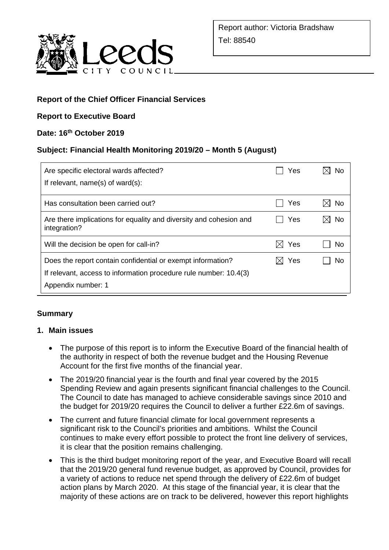

## **Report of the Chief Officer Financial Services**

## **Report to Executive Board**

## **Date: 16th October 2019**

## **Subject: Financial Health Monitoring 2019/20 – Month 5 (August)**

| Are specific electoral wards affected?<br>If relevant, $name(s)$ of ward $(s)$ :                                                                       | Yes        | N٥ |
|--------------------------------------------------------------------------------------------------------------------------------------------------------|------------|----|
|                                                                                                                                                        |            |    |
| Has consultation been carried out?                                                                                                                     | Yes        | No |
| Are there implications for equality and diversity and cohesion and<br>integration?                                                                     | Yes        | No |
| Will the decision be open for call-in?                                                                                                                 | Yes        | No |
| Does the report contain confidential or exempt information?<br>If relevant, access to information procedure rule number: 10.4(3)<br>Appendix number: 1 | Yes<br>IXI | N٥ |

## **Summary**

### **1. Main issues**

- The purpose of this report is to inform the Executive Board of the financial health of the authority in respect of both the revenue budget and the Housing Revenue Account for the first five months of the financial year.
- The 2019/20 financial year is the fourth and final year covered by the 2015 Spending Review and again presents significant financial challenges to the Council. The Council to date has managed to achieve considerable savings since 2010 and the budget for 2019/20 requires the Council to deliver a further £22.6m of savings.
- The current and future financial climate for local government represents a significant risk to the Council's priorities and ambitions. Whilst the Council continues to make every effort possible to protect the front line delivery of services, it is clear that the position remains challenging.
- This is the third budget monitoring report of the year, and Executive Board will recall that the 2019/20 general fund revenue budget, as approved by Council, provides for a variety of actions to reduce net spend through the delivery of £22.6m of budget action plans by March 2020. At this stage of the financial year, it is clear that the majority of these actions are on track to be delivered, however this report highlights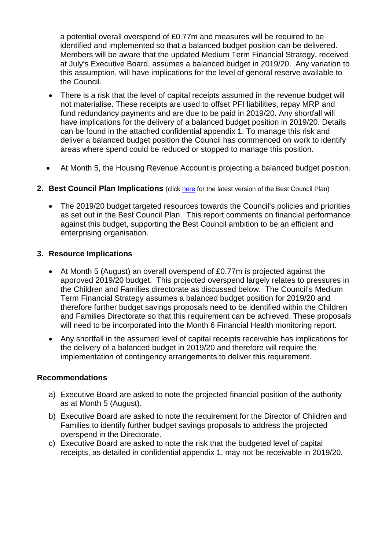a potential overall overspend of £0.77m and measures will be required to be identified and implemented so that a balanced budget position can be delivered. Members will be aware that the updated Medium Term Financial Strategy, received at July's Executive Board, assumes a balanced budget in 2019/20. Any variation to this assumption, will have implications for the level of general reserve available to the Council.

- There is a risk that the level of capital receipts assumed in the revenue budget will not materialise. These receipts are used to offset PFI liabilities, repay MRP and fund redundancy payments and are due to be paid in 2019/20. Any shortfall will have implications for the delivery of a balanced budget position in 2019/20. Details can be found in the attached confidential appendix 1. To manage this risk and deliver a balanced budget position the Council has commenced on work to identify areas where spend could be reduced or stopped to manage this position.
- At Month 5, the Housing Revenue Account is projecting a balanced budget position.
- **2. Best Council Plan Implications** (click [here](https://www.leeds.gov.uk/your-council/plans-and-strategies/council-plans) for the latest version of the Best Council Plan)
	- The 2019/20 budget targeted resources towards the Council's policies and priorities as set out in the Best Council Plan. This report comments on financial performance against this budget, supporting the Best Council ambition to be an efficient and enterprising organisation.

### **3. Resource Implications**

- At Month 5 (August) an overall overspend of £0.77m is projected against the approved 2019/20 budget. This projected overspend largely relates to pressures in the Children and Families directorate as discussed below. The Council's Medium Term Financial Strategy assumes a balanced budget position for 2019/20 and therefore further budget savings proposals need to be identified within the Children and Families Directorate so that this requirement can be achieved. These proposals will need to be incorporated into the Month 6 Financial Health monitoring report.
- Any shortfall in the assumed level of capital receipts receivable has implications for the delivery of a balanced budget in 2019/20 and therefore will require the implementation of contingency arrangements to deliver this requirement.

### **Recommendations**

- a) Executive Board are asked to note the projected financial position of the authority as at Month 5 (August).
- b) Executive Board are asked to note the requirement for the Director of Children and Families to identify further budget savings proposals to address the projected overspend in the Directorate.
- c) Executive Board are asked to note the risk that the budgeted level of capital receipts, as detailed in confidential appendix 1, may not be receivable in 2019/20.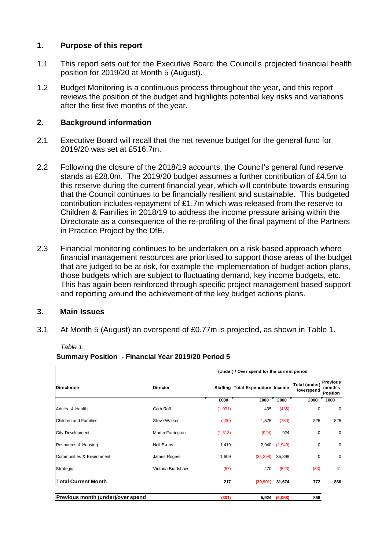### **1. Purpose of this report**

- 1.1 This report sets out for the Executive Board the Council's projected financial health position for 2019/20 at Month 5 (August).
- 1.2 Budget Monitoring is a continuous process throughout the year, and this report reviews the position of the budget and highlights potential key risks and variations after the first five months of the year.

### **2. Background information**

- 2.1 Executive Board will recall that the net revenue budget for the general fund for 2019/20 was set at £516.7m.
- 2.2 Following the closure of the 2018/19 accounts, the Council's general fund reserve stands at £28.0m. The 2019/20 budget assumes a further contribution of £4.5m to this reserve during the current financial year, which will contribute towards ensuring that the Council continues to be financially resilient and sustainable. This budgeted contribution includes repayment of £1.7m which was released from the reserve to Children & Families in 2018/19 to address the income pressure arising within the Directorate as a consequence of the re-profiling of the final payment of the Partners in Practice Project by the DfE.
- 2.3 Financial monitoring continues to be undertaken on a risk-based approach where financial management resources are prioritised to support those areas of the budget that are judged to be at risk, for example the implementation of budget action plans, those budgets which are subject to fluctuating demand, key income budgets, etc. This has again been reinforced through specific project management based support and reporting around the achievement of the key budget actions plans.

### **3. Main Issues**

3.1 At Month 5 (August) an overspend of £0.77m is projected, as shown in Table 1.

| Table 1 |  |
|---------|--|
|         |  |

#### **Summary Position - Financial Year 2019/20 Period 5**

|                                   |                     |          | (Under) / Over spend for the current period |               |                             |                                        |
|-----------------------------------|---------------------|----------|---------------------------------------------|---------------|-----------------------------|----------------------------------------|
| <b>Directorate</b>                | <b>Director</b>     |          | <b>Staffing Total Expenditure Income</b>    |               | Total (under)<br>/overspend | <b>Previous</b><br>month's<br>Position |
|                                   |                     | £000     | £000                                        | £000          | £000                        | £000                                   |
| Adults & Health                   | Cath Roff           | (1,031)  | 435                                         | (435)         | $\Omega$                    | 0                                      |
| Children and Families             | <b>Steve Walker</b> | (400)    | 1,575                                       | (750)         | 825                         | 825                                    |
| <b>City Development</b>           | Martin Farrington   | (1, 313) | (924)                                       | 924           |                             | 0                                      |
| Resources & Housing               | Neil Evans          | 1,419    | 2,940                                       | (2,940)       | 0                           | $\mathbf 0$                            |
| Communities & Environment         | James Rogers        | 1,609    | (35, 398)                                   | 35,398        | 0                           | 0                                      |
| Strategic                         | Victoria Bradshaw   | (67)     | 470                                         | (523)         | (53)                        | 41                                     |
| <b>Total Current Month</b>        |                     | 217      | (30, 901)                                   | 31,674        | 772                         | 866                                    |
| Previous month (under)/over spend |                     | (831)    |                                             | 5,924 (5,058) | 866                         |                                        |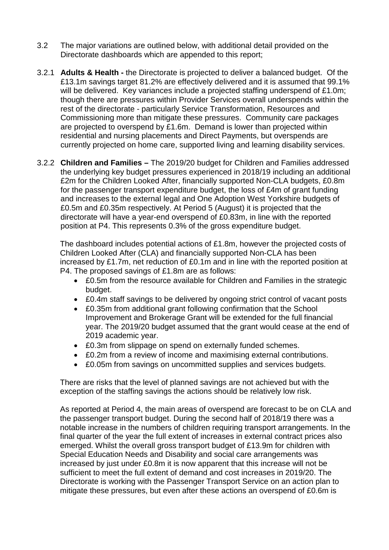- 3.2 The major variations are outlined below, with additional detail provided on the Directorate dashboards which are appended to this report;
- 3.2.1 **Adults & Health -** the Directorate is projected to deliver a balanced budget. Of the £13.1m savings target 81.2% are effectively delivered and it is assumed that 99.1% will be delivered. Key variances include a projected staffing underspend of £1.0m; though there are pressures within Provider Services overall underspends within the rest of the directorate - particularly Service Transformation, Resources and Commissioning more than mitigate these pressures. Community care packages are projected to overspend by £1.6m. Demand is lower than projected within residential and nursing placements and Direct Payments, but overspends are currently projected on home care, supported living and learning disability services.
- 3.2.2 **Children and Families –** The 2019/20 budget for Children and Families addressed the underlying key budget pressures experienced in 2018/19 including an additional £2m for the Children Looked After, financially supported Non-CLA budgets, £0.8m for the passenger transport expenditure budget, the loss of £4m of grant funding and increases to the external legal and One Adoption West Yorkshire budgets of £0.5m and £0.35m respectively. At Period 5 (August) it is projected that the directorate will have a year-end overspend of £0.83m, in line with the reported position at P4. This represents 0.3% of the gross expenditure budget.

The dashboard includes potential actions of £1.8m, however the projected costs of Children Looked After (CLA) and financially supported Non-CLA has been increased by £1.7m, net reduction of £0.1m and in line with the reported position at P4. The proposed savings of £1.8m are as follows:

- £0.5m from the resource available for Children and Families in the strategic budget.
- £0.4m staff savings to be delivered by ongoing strict control of vacant posts
- £0.35m from additional grant following confirmation that the School Improvement and Brokerage Grant will be extended for the full financial year. The 2019/20 budget assumed that the grant would cease at the end of 2019 academic year.
- £0.3m from slippage on spend on externally funded schemes.
- £0.2m from a review of income and maximising external contributions.
- £0.05m from savings on uncommitted supplies and services budgets.

There are risks that the level of planned savings are not achieved but with the exception of the staffing savings the actions should be relatively low risk.

As reported at Period 4, the main areas of overspend are forecast to be on CLA and the passenger transport budget. During the second half of 2018/19 there was a notable increase in the numbers of children requiring transport arrangements. In the final quarter of the year the full extent of increases in external contract prices also emerged. Whilst the overall gross transport budget of £13.9m for children with Special Education Needs and Disability and social care arrangements was increased by just under £0.8m it is now apparent that this increase will not be sufficient to meet the full extent of demand and cost increases in 2019/20. The Directorate is working with the Passenger Transport Service on an action plan to mitigate these pressures, but even after these actions an overspend of £0.6m is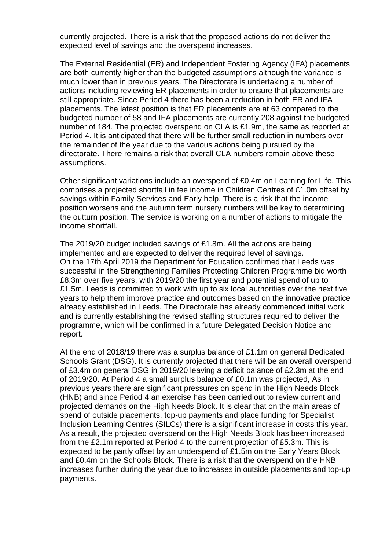currently projected. There is a risk that the proposed actions do not deliver the expected level of savings and the overspend increases.

The External Residential (ER) and Independent Fostering Agency (IFA) placements are both currently higher than the budgeted assumptions although the variance is much lower than in previous years. The Directorate is undertaking a number of actions including reviewing ER placements in order to ensure that placements are still appropriate. Since Period 4 there has been a reduction in both ER and IFA placements. The latest position is that ER placements are at 63 compared to the budgeted number of 58 and IFA placements are currently 208 against the budgeted number of 184. The projected overspend on CLA is £1.9m, the same as reported at Period 4. It is anticipated that there will be further small reduction in numbers over the remainder of the year due to the various actions being pursued by the directorate. There remains a risk that overall CLA numbers remain above these assumptions.

Other significant variations include an overspend of £0.4m on Learning for Life. This comprises a projected shortfall in fee income in Children Centres of £1.0m offset by savings within Family Services and Early help. There is a risk that the income position worsens and the autumn term nursery numbers will be key to determining the outturn position. The service is working on a number of actions to mitigate the income shortfall.

The 2019/20 budget included savings of £1.8m. All the actions are being implemented and are expected to deliver the required level of savings. On the 17th April 2019 the Department for Education confirmed that Leeds was successful in the Strengthening Families Protecting Children Programme bid worth £8.3m over five years, with 2019/20 the first year and potential spend of up to £1.5m. Leeds is committed to work with up to six local authorities over the next five years to help them improve practice and outcomes based on the innovative practice already established in Leeds. The Directorate has already commenced initial work and is currently establishing the revised staffing structures required to deliver the programme, which will be confirmed in a future Delegated Decision Notice and report.

At the end of 2018/19 there was a surplus balance of £1.1m on general Dedicated Schools Grant (DSG). It is currently projected that there will be an overall overspend of £3.4m on general DSG in 2019/20 leaving a deficit balance of £2.3m at the end of 2019/20. At Period 4 a small surplus balance of £0.1m was projected, As in previous years there are significant pressures on spend in the High Needs Block (HNB) and since Period 4 an exercise has been carried out to review current and projected demands on the High Needs Block. It is clear that on the main areas of spend of outside placements, top-up payments and place funding for Specialist Inclusion Learning Centres (SILCs) there is a significant increase in costs this year. As a result, the projected overspend on the High Needs Block has been increased from the £2.1m reported at Period 4 to the current projection of £5.3m. This is expected to be partly offset by an underspend of £1.5m on the Early Years Block and £0.4m on the Schools Block. There is a risk that the overspend on the HNB increases further during the year due to increases in outside placements and top-up payments.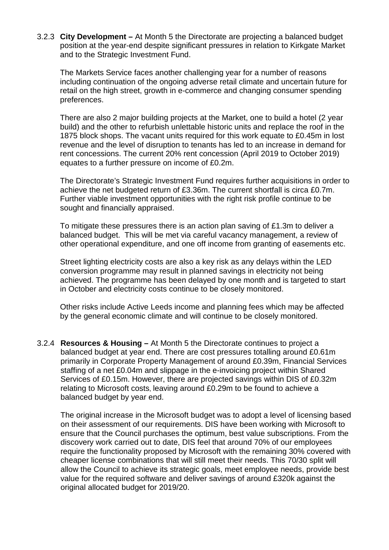3.2.3 **City Development –** At Month 5 the Directorate are projecting a balanced budget position at the year-end despite significant pressures in relation to Kirkgate Market and to the Strategic Investment Fund.

The Markets Service faces another challenging year for a number of reasons including continuation of the ongoing adverse retail climate and uncertain future for retail on the high street, growth in e-commerce and changing consumer spending preferences.

There are also 2 major building projects at the Market, one to build a hotel (2 year build) and the other to refurbish unlettable historic units and replace the roof in the 1875 block shops. The vacant units required for this work equate to £0.45m in lost revenue and the level of disruption to tenants has led to an increase in demand for rent concessions. The current 20% rent concession (April 2019 to October 2019) equates to a further pressure on income of £0.2m.

The Directorate's Strategic Investment Fund requires further acquisitions in order to achieve the net budgeted return of £3.36m. The current shortfall is circa £0.7m. Further viable investment opportunities with the right risk profile continue to be sought and financially appraised.

To mitigate these pressures there is an action plan saving of £1.3m to deliver a balanced budget. This will be met via careful vacancy management, a review of other operational expenditure, and one off income from granting of easements etc.

Street lighting electricity costs are also a key risk as any delays within the LED conversion programme may result in planned savings in electricity not being achieved. The programme has been delayed by one month and is targeted to start in October and electricity costs continue to be closely monitored.

Other risks include Active Leeds income and planning fees which may be affected by the general economic climate and will continue to be closely monitored.

3.2.4 **Resources & Housing –** At Month 5 the Directorate continues to project a balanced budget at year end. There are cost pressures totalling around £0.61m primarily in Corporate Property Management of around £0.39m, Financial Services staffing of a net £0.04m and slippage in the e-invoicing project within Shared Services of £0.15m. However, there are projected savings within DIS of £0.32m relating to Microsoft costs, leaving around £0.29m to be found to achieve a balanced budget by year end.

The original increase in the Microsoft budget was to adopt a level of licensing based on their assessment of our requirements. DIS have been working with Microsoft to ensure that the Council purchases the optimum, best value subscriptions. From the discovery work carried out to date, DIS feel that around 70% of our employees require the functionality proposed by Microsoft with the remaining 30% covered with cheaper license combinations that will still meet their needs. This 70/30 split will allow the Council to achieve its strategic goals, meet employee needs, provide best value for the required software and deliver savings of around £320k against the original allocated budget for 2019/20.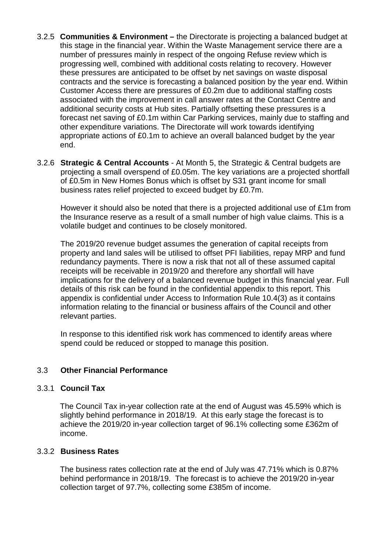- 3.2.5 **Communities & Environment –** the Directorate is projecting a balanced budget at this stage in the financial year. Within the Waste Management service there are a number of pressures mainly in respect of the ongoing Refuse review which is progressing well, combined with additional costs relating to recovery. However these pressures are anticipated to be offset by net savings on waste disposal contracts and the service is forecasting a balanced position by the year end. Within Customer Access there are pressures of £0.2m due to additional staffing costs associated with the improvement in call answer rates at the Contact Centre and additional security costs at Hub sites. Partially offsetting these pressures is a forecast net saving of £0.1m within Car Parking services, mainly due to staffing and other expenditure variations. The Directorate will work towards identifying appropriate actions of £0.1m to achieve an overall balanced budget by the year end.
- 3.2.6 **Strategic & Central Accounts** At Month 5, the Strategic & Central budgets are projecting a small overspend of £0.05m. The key variations are a projected shortfall of £0.5m in New Homes Bonus which is offset by S31 grant income for small business rates relief projected to exceed budget by £0.7m.

However it should also be noted that there is a projected additional use of £1m from the Insurance reserve as a result of a small number of high value claims. This is a volatile budget and continues to be closely monitored.

The 2019/20 revenue budget assumes the generation of capital receipts from property and land sales will be utilised to offset PFI liabilities, repay MRP and fund redundancy payments. There is now a risk that not all of these assumed capital receipts will be receivable in 2019/20 and therefore any shortfall will have implications for the delivery of a balanced revenue budget in this financial year. Full details of this risk can be found in the confidential appendix to this report. This appendix is confidential under Access to Information Rule 10.4(3) as it contains information relating to the financial or business affairs of the Council and other relevant parties.

In response to this identified risk work has commenced to identify areas where spend could be reduced or stopped to manage this position.

### 3.3 **Other Financial Performance**

### 3.3.1 **Council Tax**

The Council Tax in-year collection rate at the end of August was 45.59% which is slightly behind performance in 2018/19. At this early stage the forecast is to achieve the 2019/20 in-year collection target of 96.1% collecting some £362m of income.

### 3.3.2 **Business Rates**

The business rates collection rate at the end of July was 47.71% which is 0.87% behind performance in 2018/19. The forecast is to achieve the 2019/20 in-year collection target of 97.7%, collecting some £385m of income.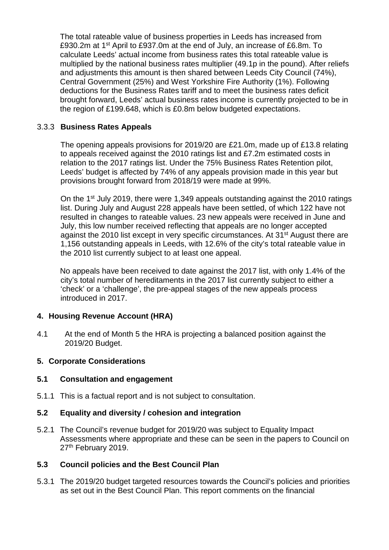The total rateable value of business properties in Leeds has increased from £930.2m at 1st April to £937.0m at the end of July, an increase of £6.8m. To calculate Leeds' actual income from business rates this total rateable value is multiplied by the national business rates multiplier (49.1p in the pound). After reliefs and adjustments this amount is then shared between Leeds City Council (74%), Central Government (25%) and West Yorkshire Fire Authority (1%). Following deductions for the Business Rates tariff and to meet the business rates deficit brought forward, Leeds' actual business rates income is currently projected to be in the region of £199.648, which is £0.8m below budgeted expectations.

### 3.3.3 **Business Rates Appeals**

The opening appeals provisions for 2019/20 are £21.0m, made up of £13.8 relating to appeals received against the 2010 ratings list and £7.2m estimated costs in relation to the 2017 ratings list. Under the 75% Business Rates Retention pilot, Leeds' budget is affected by 74% of any appeals provision made in this year but provisions brought forward from 2018/19 were made at 99%.

On the 1st July 2019, there were 1,349 appeals outstanding against the 2010 ratings list. During July and August 228 appeals have been settled, of which 122 have not resulted in changes to rateable values. 23 new appeals were received in June and July, this low number received reflecting that appeals are no longer accepted against the 2010 list except in very specific circumstances. At 31<sup>st</sup> August there are 1,156 outstanding appeals in Leeds, with 12.6% of the city's total rateable value in the 2010 list currently subject to at least one appeal.

No appeals have been received to date against the 2017 list, with only 1.4% of the city's total number of hereditaments in the 2017 list currently subject to either a 'check' or a 'challenge', the pre-appeal stages of the new appeals process introduced in 2017.

### **4. Housing Revenue Account (HRA)**

4.1 At the end of Month 5 the HRA is projecting a balanced position against the 2019/20 Budget.

### **5. Corporate Considerations**

### **5.1 Consultation and engagement**

5.1.1 This is a factual report and is not subject to consultation.

### **5.2 Equality and diversity / cohesion and integration**

5.2.1 The Council's revenue budget for 2019/20 was subject to Equality Impact Assessments where appropriate and these can be seen in the papers to Council on 27<sup>th</sup> February 2019.

### **5.3 Council policies and the Best Council Plan**

5.3.1 The 2019/20 budget targeted resources towards the Council's policies and priorities as set out in the Best Council Plan. This report comments on the financial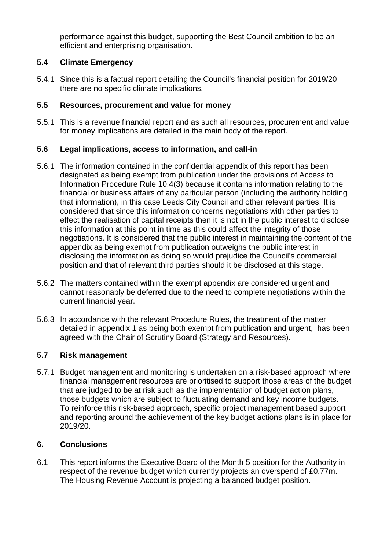performance against this budget, supporting the Best Council ambition to be an efficient and enterprising organisation.

## **5.4 Climate Emergency**

5.4.1 Since this is a factual report detailing the Council's financial position for 2019/20 there are no specific climate implications.

### **5.5 Resources, procurement and value for money**

5.5.1 This is a revenue financial report and as such all resources, procurement and value for money implications are detailed in the main body of the report.

### **5.6 Legal implications, access to information, and call-in**

- 5.6.1 The information contained in the confidential appendix of this report has been designated as being exempt from publication under the provisions of Access to Information Procedure Rule 10.4(3) because it contains information relating to the financial or business affairs of any particular person (including the authority holding that information), in this case Leeds City Council and other relevant parties. It is considered that since this information concerns negotiations with other parties to effect the realisation of capital receipts then it is not in the public interest to disclose this information at this point in time as this could affect the integrity of those negotiations. It is considered that the public interest in maintaining the content of the appendix as being exempt from publication outweighs the public interest in disclosing the information as doing so would prejudice the Council's commercial position and that of relevant third parties should it be disclosed at this stage.
- 5.6.2 The matters contained within the exempt appendix are considered urgent and cannot reasonably be deferred due to the need to complete negotiations within the current financial year.
- 5.6.3 In accordance with the relevant Procedure Rules, the treatment of the matter detailed in appendix 1 as being both exempt from publication and urgent, has been agreed with the Chair of Scrutiny Board (Strategy and Resources).

### **5.7 Risk management**

5.7.1 Budget management and monitoring is undertaken on a risk-based approach where financial management resources are prioritised to support those areas of the budget that are judged to be at risk such as the implementation of budget action plans, those budgets which are subject to fluctuating demand and key income budgets. To reinforce this risk-based approach, specific project management based support and reporting around the achievement of the key budget actions plans is in place for 2019/20.

### **6. Conclusions**

6.1 This report informs the Executive Board of the Month 5 position for the Authority in respect of the revenue budget which currently projects an overspend of £0.77m. The Housing Revenue Account is projecting a balanced budget position.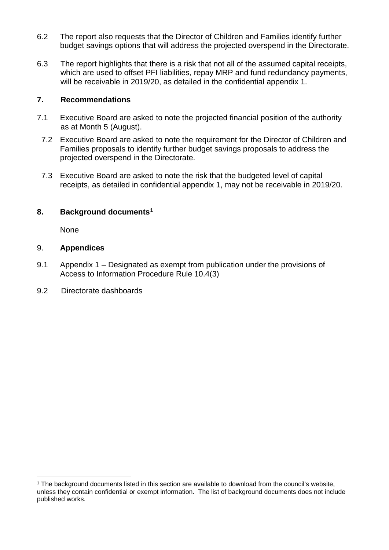- 6.2 The report also requests that the Director of Children and Families identify further budget savings options that will address the projected overspend in the Directorate.
- 6.3 The report highlights that there is a risk that not all of the assumed capital receipts, which are used to offset PFI liabilities, repay MRP and fund redundancy payments, will be receivable in 2019/20, as detailed in the confidential appendix 1.

### **7. Recommendations**

- 7.1 Executive Board are asked to note the projected financial position of the authority as at Month 5 (August).
- 7.2 Executive Board are asked to note the requirement for the Director of Children and Families proposals to identify further budget savings proposals to address the projected overspend in the Directorate.
- 7.3 Executive Board are asked to note the risk that the budgeted level of capital receipts, as detailed in confidential appendix 1, may not be receivable in 2019/20.

### **8. Background documents[1](#page-9-0)**

None

### 9. **Appendices**

- 9.1 Appendix 1 Designated as exempt from publication under the provisions of Access to Information Procedure Rule 10.4(3)
- 9.2 Directorate dashboards

<span id="page-9-0"></span><sup>&</sup>lt;sup>1</sup> The background documents listed in this section are available to download from the council's website, unless they contain confidential or exempt information. The list of background documents does not include published works.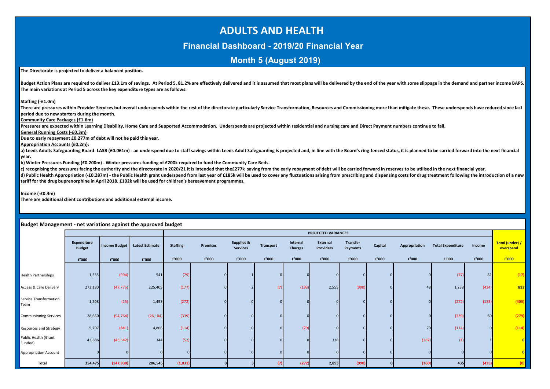# **ADULTS AND HEALTH**

### **Financial Dashboard - 2019/20 Financial Year**

### **Month 5 (August 2019)**

#### **The Directorate is projected to deliver a balanced position.**

Budget Action Plans are required to deliver £13.1m of savings. At Period 5, 81.2% are effectively delivered and it is assumed that most plans will be delivered by the end of the year with some slippage in the demand and pa **The main variations at Period 5 across the key expenditure types are as follows:**

#### **Staffing (-£1.0m)**

There are pressures within Provider Services but overall underspends within the rest of the directorate particularly Service Transformation. Resources and Commissioning more than mitigate these. These underspends have redu **period due to new starters during the month.** 

**Community Care Packages (£1.6m)**

**Pressures are expected within Learning Disability, Home Care and Supported Accommodation. Underspends are projected within residential and nursing care and Direct Payment numbers continue to fall.**

**General Running Costs (-£0.3m)**

**Due to early repayment £0.277m of debt will not be paid this year.** 

**Appropriation Accounts (£0.2m):**

a) Leeds Adults Safeguarding Board- LASB (£0.061m) - an underspend due to staff savings within Leeds Adult Safeguarding is projected and, in line with the Board's ring-fenced status, it is planned to be carried forward int **year.**

**b) Winter Pressures Funding (£0.200m) - Winter pressures funding of £200k required to fund the Community Care Beds.**

c) recognising the pressures facing the authority and the directorate in 2020/21 it is intended that the£277k saving from the early repayment of debt will be carried forward in reserves to be utilised in the next financial

d) Public Health Appropriation (-£0.287m) - the Public Health grant underspend from last year of £185k will be used to cover any fluctuations arising from prescribing and dispensing costs for drug treatment following the i **tariff for the drug buprenorphine in April 2018. £102k will be used for children's bereavement programmes.**

**Income (-£0.4m)**

**There are additional client contributions and additional external income.**

|                                   |                              |                      |                        |                 |                 |                                          |                  |                            | PROJECTED VARIANCES          |                             |         |               |                          |        |                              |
|-----------------------------------|------------------------------|----------------------|------------------------|-----------------|-----------------|------------------------------------------|------------------|----------------------------|------------------------------|-----------------------------|---------|---------------|--------------------------|--------|------------------------------|
|                                   | Expenditure<br><b>Budget</b> | <b>Income Budget</b> | <b>Latest Estimate</b> | <b>Staffing</b> | <b>Premises</b> | <b>Supplies &amp;</b><br><b>Services</b> | <b>Transport</b> | Internal<br><b>Charges</b> | External<br><b>Providers</b> | <b>Transfer</b><br>Payments | Capital | Appropriation | <b>Total Expenditure</b> | Income | Total (under) /<br>overspend |
|                                   | £'000                        | £'000                | £'000                  | £'000           | £'000           | £'000                                    | £'000            | £'000                      | £'000                        | £'000                       | £'000   | £'000         | £'000                    | £'000  | £'000                        |
|                                   |                              |                      |                        |                 |                 |                                          |                  |                            |                              |                             |         |               |                          |        |                              |
| <b>Health Partnerships</b>        | 1,535                        | (994)                | 541                    | (79)            |                 |                                          |                  |                            |                              |                             |         |               | (77)                     | 61     | (17)                         |
| <b>Access &amp; Care Delivery</b> | 273,180                      | (47, 775)            | 225,405                | (177)           |                 |                                          |                  | (193)                      | 2,555                        | (990)                       |         | 48            | 1,238                    | (424)  | 813                          |
| Service Transformation<br>Team    | 1,508                        | (15)                 | 1,493                  | (272)           |                 |                                          |                  |                            |                              |                             |         |               | (272)                    | (133)  | (405)                        |
| <b>Commissioning Services</b>     | 28,660                       | (54, 764)            | (26, 104)              | (339)           |                 |                                          |                  |                            |                              |                             |         |               | (339)                    | 60     | (279)                        |
| <b>Resources and Strategy</b>     | 5,707                        | (841)                | 4,866                  | (114)           |                 |                                          |                  | (79)                       |                              |                             |         | 79            | (114)                    |        | (114)                        |
| Public Health (Grant<br>Funded)   | 43,886                       | (43, 542)            | 344                    | (52)            |                 |                                          |                  |                            | 338                          |                             |         | (287)         |                          |        |                              |
| <b>Appropriation Account</b>      |                              |                      |                        |                 |                 |                                          |                  |                            |                              |                             |         |               |                          |        |                              |
| Total                             | 354,475                      | (147, 930)           | 206,545                | (1,031)         |                 |                                          | (7)              | (272)                      | 2,893                        | (990)                       |         | (160)         | 435                      | (435)  |                              |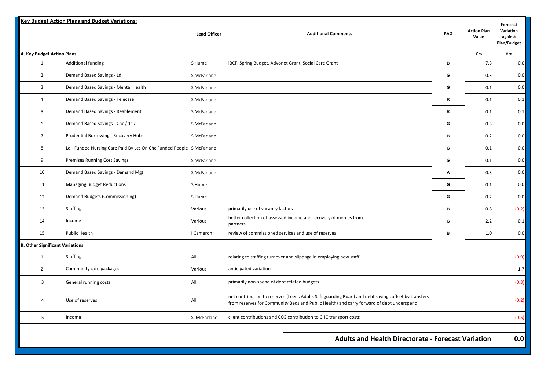|                                        | <b>Key Budget Action Plans and Budget Variations:</b>                 |                     |                                                                                                                                                                                                |                  |                             | Forecast                            |
|----------------------------------------|-----------------------------------------------------------------------|---------------------|------------------------------------------------------------------------------------------------------------------------------------------------------------------------------------------------|------------------|-----------------------------|-------------------------------------|
|                                        |                                                                       | <b>Lead Officer</b> | <b>Additional Comments</b>                                                                                                                                                                     | <b>RAG</b>       | <b>Action Plan</b><br>Value | Variation<br>against<br>Plan/Budget |
| A. Key Budget Action Plans             |                                                                       |                     |                                                                                                                                                                                                |                  | £m                          | £m                                  |
| 1.                                     | <b>Additional funding</b>                                             | S Hume              | iBCF, Spring Budget, Advonet Grant, Social Care Grant                                                                                                                                          | в                | 7.3                         | 0.0                                 |
| 2.                                     | Demand Based Savings - Ld                                             | S McFarlane         |                                                                                                                                                                                                | G                | 0.3                         | 0.0                                 |
| 3.                                     | Demand Based Savings - Mental Health                                  | S McFarlane         |                                                                                                                                                                                                | G                | 0.1                         | 0.0                                 |
| 4.                                     | Demand Based Savings - Telecare                                       | S McFarlane         |                                                                                                                                                                                                | $\mathbf R$      | 0.1                         | 0.1                                 |
| 5.                                     | Demand Based Savings - Reablement                                     | S McFarlane         |                                                                                                                                                                                                | $\mathsf{R}$     | 0.1                         | 0.1                                 |
| 6.                                     | Demand Based Savings - Chc / 117                                      | S McFarlane         |                                                                                                                                                                                                | G                | 0.3                         | 0.0                                 |
| 7.                                     | Prudential Borrowing - Recovery Hubs                                  | S McFarlane         |                                                                                                                                                                                                | $\, {\bf B}$     | 0.2                         | 0.0                                 |
| 8.                                     | Ld - Funded Nursing Care Paid By Lcc On Chc Funded People S McFarlane |                     |                                                                                                                                                                                                | G                | 0.1                         | 0.0                                 |
| 9.                                     | Premises Running Cost Savings                                         | S McFarlane         |                                                                                                                                                                                                | G                | 0.1                         | 0.0                                 |
| 10.                                    | Demand Based Savings - Demand Mgt                                     | S McFarlane         |                                                                                                                                                                                                | $\blacktriangle$ | 0.3                         | 0.0                                 |
| 11.                                    | <b>Managing Budget Reductions</b>                                     | S Hume              |                                                                                                                                                                                                | G                | 0.1                         | 0.0                                 |
| 12.                                    | Demand Budgets (Commissioning)                                        | S Hume              |                                                                                                                                                                                                | G                | 0.2                         | 0.0                                 |
| 13.                                    | Staffing                                                              | Various             | primarily use of vacancy factors                                                                                                                                                               | в                | 0.8                         | (0.2)                               |
| 14.                                    | Income                                                                | Various             | better collection of assessed income and recovery of monies from<br>partners                                                                                                                   | G                | 2.2                         | 0.1                                 |
| 15.                                    | Public Health                                                         | I Cameron           | review of commissioned services and use of reserves                                                                                                                                            | в                | 1.0                         | 0.0                                 |
| <b>B. Other Significant Variations</b> |                                                                       |                     |                                                                                                                                                                                                |                  |                             |                                     |
| 1.                                     | <b>Staffing</b>                                                       | All                 | relating to staffing turnover and slippage in employing new staff                                                                                                                              |                  |                             | (0.9)                               |
| 2.                                     | Community care packages                                               | Various             | anticipated variation                                                                                                                                                                          |                  |                             | 1.7                                 |
| $\overline{3}$                         | General running costs                                                 | All                 | primarily non-spend of debt related budgets                                                                                                                                                    |                  |                             | (0.3)                               |
| $\overline{4}$                         | Use of reserves                                                       | All                 | net contribution to reserves (Leeds Adults Safeguarding Board and debt savings offset by transfers<br>from reserves for Community Beds and Public Health) and carry forward of debt underspend |                  |                             | (0.2)                               |
| 5 <sup>1</sup>                         | Income                                                                | S. McFarlane        | client contributions and CCG contribution to CHC transport costs                                                                                                                               |                  |                             | (0.5)                               |
|                                        |                                                                       |                     |                                                                                                                                                                                                |                  |                             |                                     |
|                                        |                                                                       |                     | <b>Adults and Health Directorate - Forecast Variation</b>                                                                                                                                      |                  |                             | 0.0                                 |
|                                        |                                                                       |                     |                                                                                                                                                                                                |                  |                             |                                     |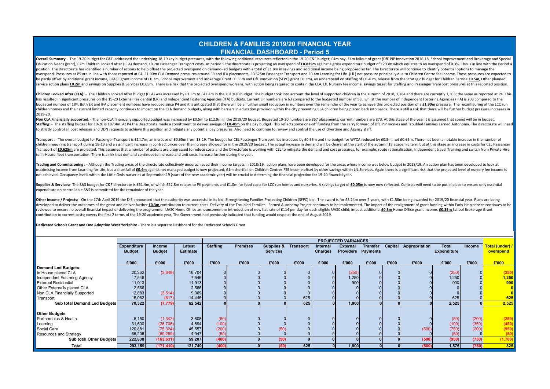#### **CHILDREN & FAMILIES 2019/20 FINANCIAL YEAR FINANCIAL DASHBOARD - Period 5**

Overall Summary - The 19-20 budget for C&F addressed the underlying 18-19 key budget pressures, with the following additional resources reflected in the 19-20 C&F budget; £4m pay, £4m fallout of grant (DfE PiP Innovation 2 Education Needs grant), £2m Children Looked After (CLA) demand, £0.7m Passenger Transport costs. At period 5 the directorate is projecting an overspend of £0.825m against a gross expenditure budget of £293m which equates t position. The Directorate has identified a number of actions to help offset the projected overspend on demand-led budgets with a total of f 1.8m in savings and additional income being proposed so far. The Directorate will overspend. Pressures at P5 are in line with those reported at P4, £1,90m CLA Demand pressures around ER and IFA placements, £0,625m Passenger Transport and £0.4m Learning for Life (LfL) net pressure principally due to Chil be partly offset by additional grant income. (UASC grant income of £0.3m. School Improvement and Brokerage Grant £0.35m and DfE Innovation (SFPC) grant £0.3m), an underspend on staffing of £0.40m, release from the Strategi service action plans £0.2m and savings on Supplies & Services £0.05m. There is a risk that the projected overspend worsens, with action being required to contain the CLA, LfL Nursery fee income, savings target for Staffing

children Looked After (CLA): - The Children Looked After budget (CLA) was increased by £1.5m to £42.4m in the 2019/20 budget. The budget took into account the level of supported children in the autumn of 2018, 1,284 and th has resulted in significant pressures on the 19-20 External Residential (ER) and Independent Fostering Agencies (IFA) budgets. Current ER numbers are 63 compared to the budgeted number of 58 , whilst the number of Independ budgeted number of 184. Both ER and IFA placement numbers have reduced since P4 and it is anticpated that there will be a further small reduction in numbers over the remainder of the year to achieve this projected position children homes and their current limited capacity continues to impact on the CLA demand budgets, along with barriers in education provision within the city preventing CLA children being placed back into Leeds. There is sti 2019-20.

Non CLA Financially supported: - The non-CLA financially supported budget was increased by £0.5m to £12.9m in the 2019/20 budget. Budgeted 19-20 numbers are 867 placements: current numbers are 873. At this stage of the yea Staffing: - The staffing budget for 19-20 is £87.4m. At P4 the Directorate made a comittment to deliver savings of £0.40m on the pay budget. This reflects some one-off funding from the carry forward of DfE PiP monies and T to strictly control all post releases and DDN requests to achieve this position and mitigate any potential pay pressures. Also need to continue to review and control the use of Overtime and Agency staff.

Transport : - The overall budget for Passenger Transport is £14.7m: an increase of £0.65m from 18-19. The budget for CEL Passenger Transport has increased by £0.95m and the budget for WYCA reduced by £0.3m: net £0.65m. The children requiring transport during 18-19 and a significant increase in contract prices over the increase allowed for in the 2019/20 budget. The actual increase in demand will be clearer at the start of the autumn'19 acade Transport of £0.625m are projected. This assumes that a number of actions are progressed to reduce costs and the Directorate is working with CEL to mitigate the demand and cost pressures, for example: route rationalisation to In-House fleet transportation. There is a risk that demand continues to increase and unit costs increase further during the year.

Trading and Commissioning: - Although the Trading areas of the directorate collectively underachieved their income targets in 2018/19, action plans have been developed for the areas where income was below budget in 2018/19 maximising income from Learning for Life, but a shortfall of £0.4m against net managed budget is now projected; £1m shortfall on Children Centres FEE income offset by other savings within LfL Services. Again there is a sig not achieved. Occupancy levels within the Little Owls nurseries at September'19 (start of the new academic year) will be crucial to determing the financial projection for 19-20 financial year.

Supplies & Services:- The S&S budget for C&F directorate is £61.4m, of which £52.8m relates to Pfl payments and £1.0m for food costs for LCC run homes and nurseries. A savings target of £0.05m is now now reflected. Control expenditure on controllable S&S is committed for the remainder of the year.

Other Income / Proiects: - On the 17th April 2019 the DfE announced that the authority was successful in its bid. Strengthening Families Protecting Children (SFPC) bid. The award is for £8.24m over 5 years, with £1.58m bei developed to deliver the outcomes of the grant and deliver further £0.3m contribution to current costs. Delivery of the Troubled Families - Earned Autonomy Project continues to be implemented. The impact of the realignment reviewed to ensure no overall financial impact of delivering the programme. UASC Home Office announcement re introduction of new flat rate of £114 per day for each eligible UASC child; impact additional £0.3m Home Office g contribution to current costs; covers the first 2 terms of the 19-20 academic year, The Government had previously indicated that funding would cease at the end of August 2019.

**Dedicated Schools Grant and One Adoption West Yorkshire -** There is a separate Dashboard for the Dedicated Schools Grant

|                               |                    |               |                 |                 |                 |                      |       |                | <b>PROJECTED VARIANCES</b> |                           |         |               |                    |        |                         |
|-------------------------------|--------------------|---------------|-----------------|-----------------|-----------------|----------------------|-------|----------------|----------------------------|---------------------------|---------|---------------|--------------------|--------|-------------------------|
|                               | <b>Expenditure</b> | <b>Income</b> | Latest          | <b>Staffing</b> | <b>Premises</b> | Supplies & Transport |       | Internal       | <b>External</b>            | <b>Transfer</b>           | Capital | Appropriation | Total              | Income | Total (under) /         |
|                               | <b>Budget</b>      | <b>Budget</b> | <b>Estimate</b> |                 |                 | <b>Services</b>      |       | <b>Charges</b> |                            | <b>Providers Payments</b> |         |               | <b>Expenditure</b> |        | overspend               |
|                               |                    |               |                 |                 |                 |                      |       |                |                            |                           |         |               |                    |        |                         |
|                               | £'000              | £'000         | £'000           | £'000           | £'000           | £'000                | £'000 | £'000          | £'000                      | £'000                     | £'000   | £'000         | £'000              | £'000  | E'000                   |
| <b>Demand Led Budgets:</b>    |                    |               |                 |                 |                 |                      |       |                |                            |                           |         |               |                    |        |                         |
| In House placed CLA           | 20,352             | (3,648)       | 16,704          |                 |                 |                      |       |                | (250)                      |                           |         |               | (250)              |        | (250)                   |
| Independent Fostering Agency  | 7,546              |               | 7,546           |                 |                 |                      |       |                | 1,250                      |                           |         |               | 1,250              |        | 1,250                   |
| <b>External Residential</b>   | 11,913             |               | 11,913          |                 |                 |                      |       |                | 900                        |                           |         |               | 900                |        | 900                     |
| Other Externally placed CLA   | 2,566              |               | 2,566           |                 |                 |                      |       |                |                            |                           |         |               |                    |        | 0                       |
| Non CLA Financially Supported | 12,883             | (3, 514)      | 9,369           |                 |                 |                      |       |                |                            |                           |         |               |                    |        | $\overline{\mathbf{0}}$ |
| Transport                     | 15,062             | (617)         | 14,445          |                 |                 |                      | 625   |                |                            |                           |         |               | 625                |        | 625                     |
| Sub total Demand Led Budgets  | 70.322             | (7, 779)      | 62,542          |                 |                 |                      | 625   |                | 1,900                      |                           |         |               | 2,525              |        | 2,525                   |
|                               |                    |               |                 |                 |                 |                      |       |                |                            |                           |         |               |                    |        |                         |
| <b>Other Budgets</b>          |                    |               |                 |                 |                 |                      |       |                |                            |                           |         |               |                    |        |                         |
| Partnerships & Health         | 5,150              | (1, 342)      | 3,808           | (50)            |                 |                      |       |                |                            |                           |         |               | (50)               | (200)  | (250)                   |
| Learning                      | 31,600             | (26, 706)     | 4,894           | (100)           |                 |                      |       |                |                            |                           |         |               | (100)              | (350)  | (450)                   |
| Social Care                   | 120,881            | (75, 324)     | 45,557          | (200)           |                 | (50)                 |       |                |                            |                           |         | (500)         | (750)              | (200)  | (950)                   |
| Resources and Strategy        | 65,206             | (60, 259)     | 4,947           | (50)            |                 |                      |       |                |                            |                           |         |               | (50)               |        | (50)                    |
| Sub total Other Budgets       | 222,838            | (163, 631)    | 59,207          | (400)           |                 | (50)                 |       |                |                            |                           |         | (500)         | (950)              | (750)  | (1,700)                 |
| <b>Total</b>                  | 293,159            | (171, 410)    | 121,749         | (400)           |                 | (50)                 | 625   |                | 1,900                      |                           |         | (500)         | 1,575              | (750)  | 825                     |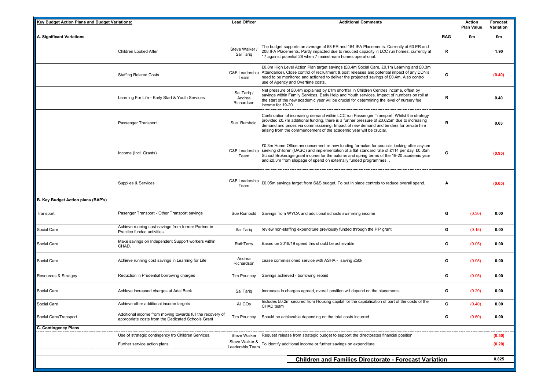| Key Budget Action Plans and Budget Variations: |                                                                                                                  | <b>Lead Officer</b>                 | <b>Additional Comments</b>                                                                                                                                                                                                                                                                                                                                |            | Action<br><b>Plan Value</b> | Forecast<br>Variation |
|------------------------------------------------|------------------------------------------------------------------------------------------------------------------|-------------------------------------|-----------------------------------------------------------------------------------------------------------------------------------------------------------------------------------------------------------------------------------------------------------------------------------------------------------------------------------------------------------|------------|-----------------------------|-----------------------|
| A. Significant Variations                      |                                                                                                                  |                                     |                                                                                                                                                                                                                                                                                                                                                           | <b>RAG</b> | £m                          | £m                    |
|                                                | Children Looked After                                                                                            | Steve Walker /<br>Sal Tariq         | The budget supports an average of 58 ER and 184 IFA Placements. Currently at 63 ER and<br>208 IFA Placements. Partly impacted due to reduced capacity in LCC run homes; currently at<br>17 against potential 28 when 7 mainstream homes operational.                                                                                                      | R          |                             | 1.90                  |
|                                                | <b>Staffing Related Costs</b>                                                                                    | C&F Leadership<br>Team              | £0.8m High Level Action Plan target savings (£0.4m Social Care, £0.1m Learning and £0.3m<br>Attendance), Close control of recruitment & post releases and potential impact of any DDN's<br>need to be monitored and actioned to deliver the projected savings of £0.4m. Also control<br>use of Agency and Overtime costs.                                 | G          |                             | (0.40)                |
|                                                | Learning For Life - Early Start & Youth Services                                                                 | Sal Tariq /<br>Andrea<br>Richardson | Net pressure of £0.4m explained by £1m shortfall in Children Centres income, offset by<br>savings within Family Services, Early Help and Youth services. Impact of numbers on roll at<br>the start of the new academic year will be crucial for determining the level of nursery fee<br>income for 19-20.                                                 | R          |                             | 0.40                  |
|                                                | Passenger Transport                                                                                              | Sue Rumbold                         | Continuation of increasing demand within LCC run Passenger Transport. Whilst the strategy<br>provided £0.7m additional funding, there is a further pressure of £0.625m due to increasing<br>demand and prices via commissioning. Impact of new demand and tenders for private hire<br>arising from the commencement of the academic year will be crucial. | R          |                             | 0.63                  |
|                                                | Income (Incl. Grants)                                                                                            | C&F Leadership<br>Team              | £0.3m Home Office announcement re new funding formulae for councils looking after asylum<br>seeking children (UASC) and implementation of a flat standard rate of £114 per day. £0.35m<br>School Brokerage grant income for the autumn and spring terms of the 19-20 academic year<br>and £0.3m from slippage of spend on externally funded programmes    | G          |                             | (0.95)                |
|                                                | Supplies & Services                                                                                              | C&F Leadership<br>Team              | £0.05m savings target from S&S budget. To put in place controls to reduce overall spend.                                                                                                                                                                                                                                                                  | Α          |                             | (0.05)                |
| B. Key Budget Action plans (BAP's)             |                                                                                                                  |                                     |                                                                                                                                                                                                                                                                                                                                                           |            |                             |                       |
| Transport                                      | Pasenger Transport - Other Transport savings                                                                     | Sue Rumbold                         | Savings from WYCA and additional schools swimming income                                                                                                                                                                                                                                                                                                  | G          | (0.30)                      | 0.00                  |
| Social Care                                    | Achieve running cost savings from former Partner in<br>Practice funded activities                                | Sal Tarig                           | review non-staffing expenditure previously funded through the PiP grant                                                                                                                                                                                                                                                                                   | G          | (0.15)                      | 0.00                  |
| Social Care                                    | Make savings on Independent Support workers within<br>CHAD.                                                      | RuthTerry                           | Based on 2018/19 spend this should be achievable                                                                                                                                                                                                                                                                                                          | G          | (0.05)                      | 0.00                  |
| Social Care                                    | Achieve running cost savings in Learning for Life                                                                | Andrea<br>Richardson                | cease commissioned service with ASHA - saving £50k                                                                                                                                                                                                                                                                                                        | G          | (0.05)                      | 0.00                  |
| Resources & Stratgey                           | Reduction in Prudential borrowing charges                                                                        | <b>Tim Pouncey</b>                  | Savings achieved - borrowing repaid                                                                                                                                                                                                                                                                                                                       | G          | (0.05)                      | 0.00                  |
| Social Care                                    | Achieve increased charges at Adel Beck                                                                           | Sal Tariq                           | Increases in charges agreed, overall position will depend on the placements.                                                                                                                                                                                                                                                                              | G          | (0.20)                      | 0.00                  |
| Social Care                                    | Achieve other additional income targets                                                                          | All COs                             | Includes £0.2m secured from Housing capital for the capitalisation of part of the costs of the<br>CHAD team                                                                                                                                                                                                                                               | G          | (0.40)                      | 0.00                  |
| Social Care/Transport                          | Additional income from moving towards full the recovery of<br>appropriate costs from the Dedicated Schools Grant | Tim Pouncey                         | Should be achievable depending on the total costs incurred                                                                                                                                                                                                                                                                                                | G          | (0.60)                      | 0.00                  |
| C. Contingency Plans                           |                                                                                                                  |                                     |                                                                                                                                                                                                                                                                                                                                                           |            |                             |                       |
|                                                | Use of strategic contingency fro Children Services.                                                              | Steve Walker<br>Steve Walker &      | Request release from strategic budget to support the directorates financial position                                                                                                                                                                                                                                                                      |            |                             | (0.50)                |
|                                                | Further service action plans                                                                                     | Leadership Team                     | To identify additional income or further savings on expenditure.                                                                                                                                                                                                                                                                                          |            |                             | (0.20)                |
|                                                |                                                                                                                  |                                     | <b>Children and Families Directorate - Forecast Variation</b>                                                                                                                                                                                                                                                                                             |            |                             | 0.825                 |
|                                                |                                                                                                                  |                                     |                                                                                                                                                                                                                                                                                                                                                           |            |                             |                       |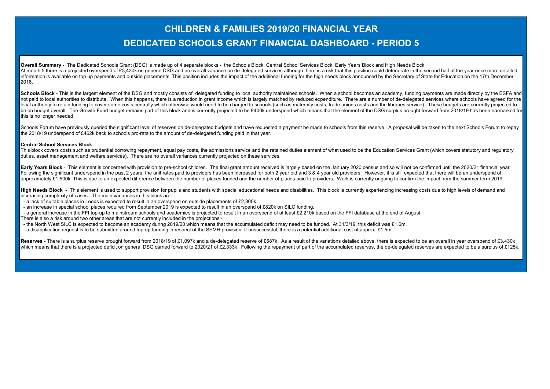# **CHILDREN & FAMILIES 2019/20 FINANCIAL YEAR DEDICATED SCHOOLS GRANT FINANCIAL DASHBOARD - PERIOD 5**

**Overall Summary** - The Dedicated Schools Grant (DSG) is made up of 4 separate blocks - the Schools Block, Central School Services Block, Early Years Block and High Needs Block. At month 5 there is a projected overspend of £3,430k on general DSG and no overall variance on de-delegated services although there is a risk that this position could deteriorate in the second half of the year once more de information is available on top up payments and outside placements. This position includes the impact of the additional funding for the high needs block announced by the Secretary of State for Education on the 17th December 2018.

Schools Block - This is the largest element of the DSG and mostly consists of delegated funding to local authority maintained schools. When a school becomes an academy, funding payments are made directly by the ESFA and not paid to local authorities to distribute. When this happens, there is a reduction in grant income which is largely matched by reduced expenditure. There are a number of de-delegated services where schools have agreed fo local authority to retain funding to cover some costs centrally which otherwise would need to be charged to schools (such as maternity costs, trade unions costs and the libraries service). These budgets are currently proje be on budget overall. The Growth Fund budget remains part of this block and is currently projected to be £400k underspend which means that the element of the DSG surplus brought forward from 2018/19 has been earmarked for this is no longer needed.

Schools Forum have previously queried the significant level of reserves on de-delegated budgets and have requested a payment be made to schools from this reserve. A proposal will be taken to the next Schools Forum to repay the 2018/19 underspend of £462k back to schools pro-rata to the amount of de-delegated funding paid in that year.

#### **Central School Services Block**

This block covers costs such as prudential borrowing repayment, equal pay costs, the admissions service and the retained duties element of what used to be the Education Services Grant (which covers statutory and regulatory duties, asset management and welfare services). There are no overall variances currently projected on these services.

Early Years Block - This element is concerned with provision to pre-school children. The final grant amount received is largely based on the January 2020 census and so will not be confirmed until the 2020/21 financial year Following the significant underspend in the past 2 years, the unit rates paid to providers has been increased for both 2 year old and 3 & 4 year old providers. However, it is still expected that there will be an underspend approximately £1,500k. This is due to an expected difference between the number of places funded and the number of places paid to providers. Work is currently ongoing to confirm the impact from the summer term 2019.

High Needs Block - This element is used to support provision for pupils and students with special educational needs and disabilities. This block is currently experiencing increasing costs due to high levels of demand and increasing complexity of cases. The main variances in this block are:-

- a lack of suitable places in Leeds is expected to result in an overspend on outside placements of £2,300k.

- an increase in special school places required from September 2019 is expected to result in an overspend of £820k on SILC funding.

- a general increase in the FFI top-up to mainstream schools and academies is projected to result in an overspend of at least £2,210k based on the FFI database at the end of August.

There is also a risk around two other areas that are not currently included in the projections:-

- the North West SILC is expected to become an academy during 2019/20 which means that the accumulated deficit may need to be funded. At 31/3/19, this deficit was £1.6m.

- a disapplication request is to be submitted around top-up funding in respect of the SEMH provision. If unsuccessful, there is a potential additional cost of approx. £1.5m.

Reserves - There is a surplus reserve brought forward from 2018/19 of £1.097k and a de-delegated reserve of £587k. As a result of the variations detailed above, there is expected to be an overall in year overspend of £3.43 which means that there is a projected deficit on general DSG carried forward to 2020/21 of £2.333k. Following the repayment of part of the accumulated reserves, the de-delegated reserves are expected to be a surplus of £12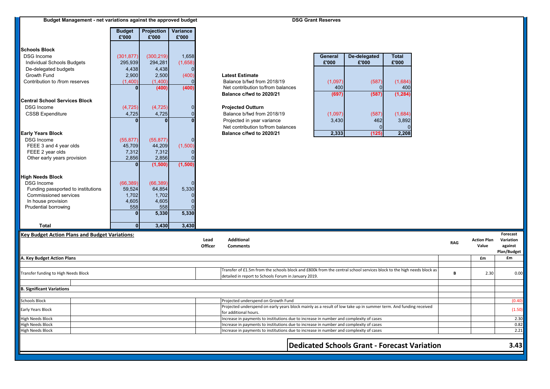| Budget Management - net variations against the approved budget |                        |                       |                   | <b>DSG Grant Reserves</b> |                                                                                                                                                                                  |                  |                       |                                                     |            |                    |              |
|----------------------------------------------------------------|------------------------|-----------------------|-------------------|---------------------------|----------------------------------------------------------------------------------------------------------------------------------------------------------------------------------|------------------|-----------------------|-----------------------------------------------------|------------|--------------------|--------------|
|                                                                | <b>Budget</b><br>£'000 | Projection  <br>£'000 | Variance<br>£'000 |                           |                                                                                                                                                                                  |                  |                       |                                                     |            |                    |              |
| <b>Schools Block</b>                                           |                        |                       |                   |                           |                                                                                                                                                                                  |                  |                       |                                                     |            |                    |              |
| <b>DSG Income</b>                                              | (301, 877)             | (300, 219)            | 1,658             |                           |                                                                                                                                                                                  | General<br>£'000 | De-delegated<br>£'000 | <b>Total</b><br>£'000                               |            |                    |              |
| Individual Schools Budgets                                     | 295,939                | 294,281               | (1,658)           |                           |                                                                                                                                                                                  |                  |                       |                                                     |            |                    |              |
| De-delegated budgets                                           | 4,438                  | 4,438<br>2,500        |                   |                           | <b>Latest Estimate</b>                                                                                                                                                           |                  |                       |                                                     |            |                    |              |
| Growth Fund                                                    | 2,900<br>(1,400)       | (1,400)               | (400)             |                           | Balance b/fwd from 2018/19                                                                                                                                                       | (1,097)          |                       |                                                     |            |                    |              |
| Contribution to /from reserves                                 |                        | (400)                 | (400)             |                           | Net contribution to/from balances                                                                                                                                                | 400              | (587)                 | (1,684)<br>400                                      |            |                    |              |
|                                                                |                        |                       |                   |                           | Balance c/fwd to 2020/21                                                                                                                                                         | (697)            | (587)                 | (1, 284)                                            |            |                    |              |
| <b>Central School Services Block</b>                           |                        |                       |                   |                           |                                                                                                                                                                                  |                  |                       |                                                     |            |                    |              |
| <b>DSG Income</b>                                              | (4, 725)               | (4, 725)              | U                 |                           | <b>Projected Outturn</b>                                                                                                                                                         |                  |                       |                                                     |            |                    |              |
| <b>CSSB Expenditure</b>                                        | 4,725                  | 4,725                 |                   |                           | Balance b/fwd from 2018/19                                                                                                                                                       | (1,097)          | (587)                 | (1,684)                                             |            |                    |              |
|                                                                |                        |                       |                   |                           | Projected in year variance                                                                                                                                                       | 3,430            | 462                   | 3,892                                               |            |                    |              |
|                                                                |                        |                       |                   |                           | Net contribution to/from balances                                                                                                                                                |                  |                       |                                                     |            |                    |              |
| <b>Early Years Block</b>                                       |                        |                       |                   |                           | Balance c/fwd to 2020/21                                                                                                                                                         | 2,333            | (125)                 | 2,208                                               |            |                    |              |
| <b>DSG Income</b>                                              | (55, 877)              | (55, 877)             |                   |                           |                                                                                                                                                                                  |                  |                       |                                                     |            |                    |              |
| FEEE 3 and 4 year olds                                         | 45,709                 | 44,209                | (1,500)           |                           |                                                                                                                                                                                  |                  |                       |                                                     |            |                    |              |
| FEEE 2 year olds                                               | 7,312                  | 7,312                 |                   |                           |                                                                                                                                                                                  |                  |                       |                                                     |            |                    |              |
| Other early years provision                                    | 2,856                  | 2,856                 |                   |                           |                                                                                                                                                                                  |                  |                       |                                                     |            |                    |              |
|                                                                |                        | (1,500)               | (1, 500)          |                           |                                                                                                                                                                                  |                  |                       |                                                     |            |                    |              |
|                                                                |                        |                       |                   |                           |                                                                                                                                                                                  |                  |                       |                                                     |            |                    |              |
| <b>High Needs Block</b><br><b>DSG Income</b>                   |                        |                       |                   |                           |                                                                                                                                                                                  |                  |                       |                                                     |            |                    |              |
| Funding passported to institutions                             | (66, 389)<br>59,524    | (66, 389)<br>64,854   | 5,330             |                           |                                                                                                                                                                                  |                  |                       |                                                     |            |                    |              |
| Commissioned services                                          | 1,702                  | 1,702                 |                   |                           |                                                                                                                                                                                  |                  |                       |                                                     |            |                    |              |
| In house provision                                             | 4,605                  | 4,605                 |                   |                           |                                                                                                                                                                                  |                  |                       |                                                     |            |                    |              |
| Prudential borrowing                                           | 558                    | 558                   |                   |                           |                                                                                                                                                                                  |                  |                       |                                                     |            |                    |              |
|                                                                | $\bf{0}$               | 5,330                 | 5,330             |                           |                                                                                                                                                                                  |                  |                       |                                                     |            |                    |              |
| <b>Total</b>                                                   | $\mathbf{0}$           | 3,430                 | 3,430             |                           |                                                                                                                                                                                  |                  |                       |                                                     |            |                    |              |
| <b>Key Budget Action Plans and Budget Variations:</b>          |                        |                       |                   |                           |                                                                                                                                                                                  |                  |                       |                                                     |            |                    | Forecast     |
|                                                                |                        |                       |                   | Lead                      | Additional                                                                                                                                                                       |                  |                       |                                                     | <b>RAG</b> | <b>Action Plan</b> | Variation    |
|                                                                |                        |                       |                   | Officer                   | <b>Comments</b>                                                                                                                                                                  |                  |                       |                                                     |            | Value              | against      |
|                                                                |                        |                       |                   |                           |                                                                                                                                                                                  |                  |                       |                                                     |            |                    | Plan/Budget  |
| <b>A. Key Budget Action Plans</b>                              |                        |                       |                   |                           |                                                                                                                                                                                  |                  |                       |                                                     |            | £m                 | £m           |
|                                                                |                        |                       |                   |                           | Transfer of £1.5m from the schools block and £800k from the central school services block to the high needs block as                                                             |                  |                       |                                                     |            |                    |              |
| ransfer funding to High Needs Block                            |                        |                       |                   |                           | detailed in report to Schools Forum in January 2019                                                                                                                              |                  |                       |                                                     | B          | 2.30               | 0.00         |
|                                                                |                        |                       |                   |                           |                                                                                                                                                                                  |                  |                       |                                                     |            |                    |              |
| <b>B. Significant Variations</b>                               |                        |                       |                   |                           |                                                                                                                                                                                  |                  |                       |                                                     |            |                    |              |
| Schools Block                                                  |                        |                       |                   |                           | Projected underspend on Growth Fund                                                                                                                                              |                  |                       |                                                     |            |                    | (0.40)       |
| Early Years Block                                              |                        |                       |                   |                           | Projected underspend on early years block mainly as a result of low take up in summer term. And funding received                                                                 |                  |                       |                                                     |            |                    | (1.50)       |
|                                                                |                        |                       |                   |                           | for additional hours.                                                                                                                                                            |                  |                       |                                                     |            |                    |              |
| ligh Needs Block                                               |                        |                       |                   |                           | Increase in payments to institutions due to increase in number and complexity of cases                                                                                           |                  |                       |                                                     |            |                    | 2.30         |
| ligh Needs Block<br><b>High Needs Block</b>                    |                        |                       |                   |                           | Increase in payments to institutions due to increase in number and complexity of cases<br>Increase in payments to institutions due to increase in number and complexity of cases |                  |                       |                                                     |            |                    | 0.82<br>2.21 |
|                                                                |                        |                       |                   |                           |                                                                                                                                                                                  |                  |                       |                                                     |            |                    |              |
|                                                                |                        |                       |                   |                           |                                                                                                                                                                                  |                  |                       | <b>Dedicated Schools Grant - Forecast Variation</b> |            |                    | 3.43         |
|                                                                |                        |                       |                   |                           |                                                                                                                                                                                  |                  |                       |                                                     |            |                    |              |
|                                                                |                        |                       |                   |                           |                                                                                                                                                                                  |                  |                       |                                                     |            |                    |              |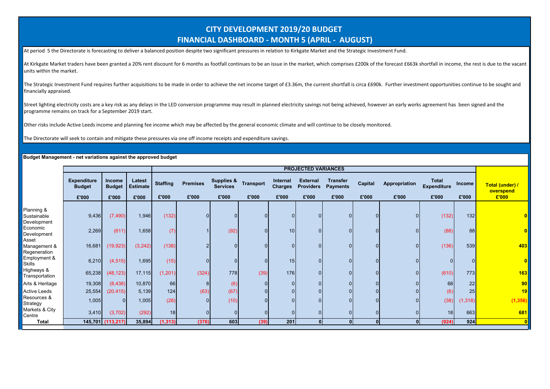## **CITY DEVELOPMENT 2019/20 BUDGET FINANCIAL DASHBOARD - MONTH 5 (APRIL - AUGUST)**

At period 5 the Directorate is forecasting to deliver a balanced position despite two significant pressures in relation to Kirkgate Market and the Strategic Investment Fund.

At Kirkgate Market traders have been granted a 20% rent discount for 6 months as footfall continues to be an issue in the market, which comprises £200k of the forecast £663k shortfall in income, the rest is due to the vaca units within the market.

The Strategic Investment Fund requires further acquisitions to be made in order to achieve the net income target of £3.36m, the current shortfall is circa £690k. Further investment opportunities continue to be sought and financially appraised.

Street lighting electricity costs are a key risk as any delays in the LED conversion programme may result in planned electricity savings not being achieved, however an early works agreement has been signed and the programme remains on track for a September 2019 start.

Other risks include Active Leeds income and planning fee income which may be affected by the general economic climate and will continue to be closely monitored.

The Directorate will seek to contain and mitigate these pressures via one off income receipts and expenditure savings.

|                                          |                                              |                                  |                                    |                          | <b>PROJECTED VARIANCES</b> |                                        |                           |                                     |                                              |                                             |                  |                        |                                             |                 |                                       |
|------------------------------------------|----------------------------------------------|----------------------------------|------------------------------------|--------------------------|----------------------------|----------------------------------------|---------------------------|-------------------------------------|----------------------------------------------|---------------------------------------------|------------------|------------------------|---------------------------------------------|-----------------|---------------------------------------|
|                                          | <b>Expenditure</b><br><b>Budget</b><br>£'000 | Income<br><b>Budget</b><br>£'000 | Latest<br><b>Estimate</b><br>£'000 | <b>Staffing</b><br>£'000 | <b>Premises</b><br>£'000   | Supplies &<br><b>Services</b><br>£'000 | <b>Transport</b><br>£'000 | Internal<br><b>Charges</b><br>£'000 | <b>External</b><br><b>Providers</b><br>£'000 | <b>Transfer</b><br><b>Payments</b><br>£'000 | Capital<br>£'000 | Appropriation<br>£'000 | <b>Total</b><br><b>Expenditure</b><br>£'000 | Income<br>£'000 | Total (under) /<br>overspend<br>£'000 |
|                                          |                                              |                                  |                                    |                          |                            |                                        |                           |                                     |                                              |                                             |                  |                        |                                             |                 |                                       |
| Planning &<br>Sustainable<br>Development | 9,436                                        | (7, 490)                         | 1,946                              | (132)                    |                            |                                        |                           | $\Omega$                            |                                              |                                             | 0                | $\overline{0}$         | (132)                                       | 132             |                                       |
| Economic<br>Development                  | 2,269                                        | (611)                            | 1,658                              | (7)                      |                            | (92)                                   | $\Omega$                  | 10 <sup>1</sup>                     |                                              |                                             | 0                | $\overline{0}$         | (88)                                        | 88              |                                       |
| Asset<br>Management &<br>Regeneration    | 16,681                                       | (19,923)                         | (3,242)                            | (138)                    |                            |                                        |                           | $\Omega$                            |                                              |                                             | 0                | 0 I                    | (136)                                       | 539             | 403                                   |
| Employment &<br><b>Skills</b>            | 6,210                                        | (4, 515)                         | 1,695                              | (15)                     |                            |                                        | $\Omega$                  | 15                                  |                                              |                                             | 0                | $\overline{0}$         |                                             | $\overline{0}$  |                                       |
| Highways &<br>Transportation             | 65,238                                       | (48, 123)                        | 17,115                             | (1, 201)                 | (324)                      | 778                                    | (39)                      | 176                                 |                                              |                                             |                  | οI                     | (610)                                       | 773             | 163                                   |
| Arts & Heritage                          | 19,308                                       | (8, 438)                         | 10,870                             | <b>66</b>                | 8                          | (6)                                    |                           | $\overline{0}$                      |                                              |                                             | 0                | 0 I                    | 68                                          | 22              | 90 <sub>l</sub>                       |
| <b>Active Leeds</b>                      | 25,554                                       | (20, 415)                        | 5,139                              | 124                      | (63)                       | (67)                                   |                           | $\Omega$                            |                                              |                                             |                  | $\overline{0}$         | (6)                                         | 25              | 19                                    |
| Resources &<br>Strategy                  | 1,005                                        | $\Omega$                         | 1,005                              | (28)                     |                            | (10)                                   | $\Omega$                  | $\Omega$                            |                                              |                                             | 0                | $\overline{0}$         | (38)                                        | (1, 318)        | (1, 356)                              |
| Markets & City<br>Centre                 | 3,410                                        | (3,702)                          | (292)                              | 18                       |                            |                                        | $\overline{0}$            | $\overline{0}$                      |                                              |                                             | 0                | $\overline{0}$         | 18                                          | 663             | 681                                   |
| <b>Total</b>                             |                                              | 145,701 (113,217)                | 35,894                             | (1, 313)                 | (376)                      | 603                                    | (39)                      | 201                                 | 0 <sup>1</sup>                               | $\Omega$                                    | $\mathbf{0}$     | $\mathbf{0}$           | (924)                                       | 924             | $\mathbf{0}$                          |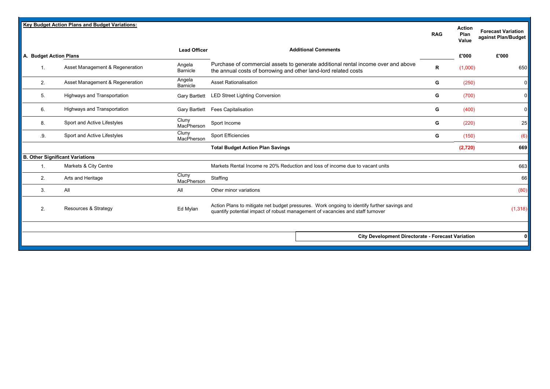|                        | <b>Key Budget Action Plans and Budget Variations:</b> |                           |                                                                                                                                                                               | <b>RAG</b> | <b>Action</b><br>Plan<br>Value | <b>Forecast Variation</b><br>against Plan/Budget |
|------------------------|-------------------------------------------------------|---------------------------|-------------------------------------------------------------------------------------------------------------------------------------------------------------------------------|------------|--------------------------------|--------------------------------------------------|
| A. Budget Action Plans |                                                       | <b>Lead Officer</b>       | <b>Additional Comments</b>                                                                                                                                                    |            | £'000                          | £'000                                            |
| 1.                     | Asset Management & Regeneration                       | Angela<br><b>Barnicle</b> | Purchase of commercial assets to generate additional rental income over and above<br>the annual costs of borrowing and other land-lord related costs                          | R          | (1,000)                        | 650                                              |
| 2.                     | Asset Management & Regeneration                       | Angela<br>Barnicle        | <b>Asset Rationalisation</b>                                                                                                                                                  | G          | (250)                          | 0                                                |
| 5.                     | Highways and Transportation                           |                           | Gary Bartlett LED Street Lighting Conversion                                                                                                                                  | G          | (700)                          | 0                                                |
| 6.                     | Highways and Transportation                           |                           | Gary Bartlett Fees Capitalisation                                                                                                                                             | G          | (400)                          | 0                                                |
| 8.                     | Sport and Active Lifestyles                           | Cluny<br>MacPherson       | Sport Income                                                                                                                                                                  | G          | (220)                          | 25                                               |
| .9.                    | Sport and Active Lifestyles                           | Cluny<br>MacPherson       | <b>Sport Efficiencies</b>                                                                                                                                                     | G          | (150)                          | (6)                                              |
|                        |                                                       |                           | <b>Total Budget Action Plan Savings</b>                                                                                                                                       |            | (2,720)                        | 669l                                             |
|                        | <b>B. Other Significant Variations</b>                |                           |                                                                                                                                                                               |            |                                |                                                  |
| 1.                     | Markets & City Centre                                 |                           | Markets Rental Income re 20% Reduction and loss of income due to vacant units                                                                                                 |            |                                | 663                                              |
| 2.                     | Arts and Heritage                                     | Cluny<br>MacPherson       | Staffing                                                                                                                                                                      |            |                                | 66                                               |
| 3.                     | All                                                   | All                       | Other minor variations                                                                                                                                                        |            |                                | (80)                                             |
| 2.                     | Resources & Strategy                                  | Ed Mylan                  | Action Plans to mitigate net budget pressures. Work ongoing to identify further savings and<br>quantify potential impact of robust management of vacancies and staff turnover |            |                                | (1, 318)                                         |
|                        |                                                       |                           |                                                                                                                                                                               |            |                                |                                                  |
|                        |                                                       |                           | City Development Directorate - Forecast Variation                                                                                                                             |            |                                | 01                                               |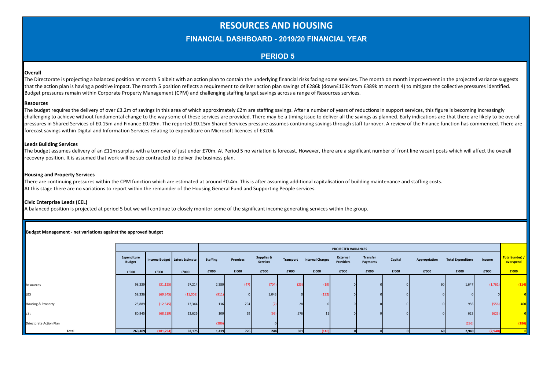## **RESOURCES AND HOUSING**

#### **FINANCIAL DASHBOARD - 2019/20 FINANCIAL YEAR**

#### **PERIOD 5**

#### **Overall**

The Directorate is projecting a balanced position at month 5 albeit with an action plan to contain the underlying financial risks facing some services. The month on month improvement in the projected variance suggests that the action plan is having a positive impact. The month 5 position reflects a requirement to deliver action plan savings of £286k (down£103k from £389k at month 4) to mitigate the collective pressures identified. Budget pressures remain within Corporate Property Management (CPM) and challenging staffing target savings across a range of Resources services.

#### **Resources**

The budget requires the delivery of over £3.2m of savings in this area of which approximately £2m are staffing savings. After a number of years of reductions in support services, this figure is becoming increasingly challenging to achieve without fundamental change to the way some of these services are provided. There may be a timing issue to deliver all the savings as planned. Early indications are that there are likely to be overall pressures in Shared Services of £0.15m and Finance £0.09m. The reported £0.15m Shared Services pressure assumes continuing savings through staff turnover. A review of the Finance function has commenced. There are forecast savings within Digital and Information Services relating to expenditure on Microsoft licences of £320k.

#### **Leeds Building Services**

The budget assumes delivery of an £11m surplus with a turnover of just under £70m. At Period 5 no variation is forecast. However, there are a significant number of front line vacant posts which will affect the overall recovery position. It is assumed that work will be sub contracted to deliver the business plan.

#### **Housing and Property Services**

There are continuing pressures within the CPM function which are estimated at around £0.4m. This is after assuming additional capitalisation of building maintenance and staffing costs. At this stage there are no variations to report within the remainder of the Housing General Fund and Supporting People services.

#### **Civic Enterprise Leeds (CEL)**

A balanced position is projected at period 5 but we will continue to closely monitor some of the significant income generating services within the group.

|                               |                              |            |                               |                 |          |                                          |       |                                   | <b>PROJECTED VARIANCES</b>   |                      |         |               |                          |         |                              |
|-------------------------------|------------------------------|------------|-------------------------------|-----------------|----------|------------------------------------------|-------|-----------------------------------|------------------------------|----------------------|---------|---------------|--------------------------|---------|------------------------------|
|                               | Expenditure<br><b>Budget</b> |            | Income Budget Latest Estimate | <b>Staffing</b> | Premises | <b>Supplies &amp;</b><br><b>Services</b> |       | <b>Transport Internal Charges</b> | External<br><b>Providers</b> | Transfer<br>Payments | Capital | Appropriation | <b>Total Expenditure</b> | Income  | Total (under) /<br>overspend |
|                               | £'000                        | £'000      | £'000                         | £'000           | £'000    | £'000                                    | £'000 | £'000                             | £'000                        | £'000                | £'000   | £'000         | £'000                    | £'000   | £'000                        |
|                               |                              |            |                               |                 |          |                                          |       |                                   |                              |                      |         |               |                          |         |                              |
| Resources                     | 98,339                       | (31, 125)  | 67,214                        | 2,380           | (47)     | (704)                                    | (23)  | (19)                              |                              |                      |         | 60            | 1,647                    | (1,761) | (114)                        |
| LBS                           | 58,336                       | (69, 345)  | (11,009)                      | (911)           |          | 1,043                                    |       | (132)                             |                              |                      |         |               |                          |         |                              |
| <b>Housing &amp; Property</b> | 25,889                       | (12, 545)  | 13,344                        | 136             | 794      |                                          | 28    |                                   |                              |                      |         |               | 956                      | (556)   | 400                          |
| <b>CEL</b>                    | 80,845                       | (68, 219)  | 12,626                        | 100             | 29       | (93)                                     | 576   | 11                                |                              |                      |         |               | 623                      | (623)   |                              |
| Driectorate Action Plan       |                              |            |                               | (28)            |          |                                          |       |                                   |                              |                      |         |               | (286)                    |         | (286)                        |
| Total                         | 263,409                      | (181, 234) | 82,175                        | 1,419           | 776      | 244                                      | 581   | (140)                             |                              |                      |         | 60            | 2,940                    | (2,940) |                              |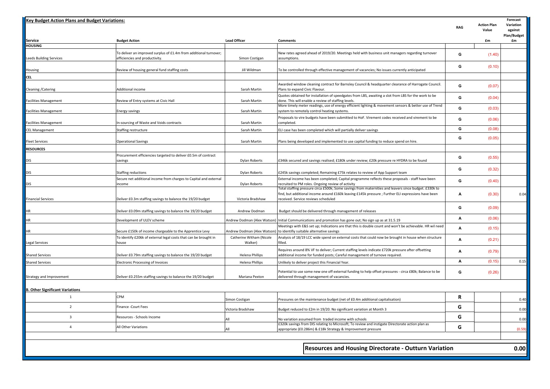| <b>Key Budget Action Plans and Budget Variations:</b> |                                                                                                     |                                     |                                                                                                                                                                                                                                                     |            | <b>Action Plan</b> | Forecast<br>Variation         |
|-------------------------------------------------------|-----------------------------------------------------------------------------------------------------|-------------------------------------|-----------------------------------------------------------------------------------------------------------------------------------------------------------------------------------------------------------------------------------------------------|------------|--------------------|-------------------------------|
|                                                       |                                                                                                     |                                     |                                                                                                                                                                                                                                                     | <b>RAG</b> | Value              | against<br><b>Plan/Budget</b> |
| Service                                               | <b>Budget Action</b>                                                                                | <b>Lead Officer</b>                 | <b>Comments</b>                                                                                                                                                                                                                                     |            | £m                 | £m                            |
| <b>HOUSING</b>                                        |                                                                                                     |                                     |                                                                                                                                                                                                                                                     |            |                    |                               |
| Leeds Building Services                               | To deliver an improved surplus of £1.4m from additional turnover;<br>efficiencies and productivity. | Simon Costigan                      | New rates agreed ahead of 2019/20. Meetings held with business unit managers regarding turnover<br>assumptions.                                                                                                                                     | G          | (1.40)             |                               |
| Housing                                               | Review of housing general fund staffing costs                                                       | Jill Wildman                        | To be controlled through effective management of vacancies; No issues currently anticipated                                                                                                                                                         | G          | (0.10)             |                               |
| <b>CEL</b>                                            |                                                                                                     |                                     |                                                                                                                                                                                                                                                     |            |                    |                               |
| Cleaning / Catering                                   | Additional income                                                                                   | Sarah Martin                        | Awarded window cleaning contract for Barnsley Council & headquarter clearance of Harrogate Council.<br>Plans to expand Civic Flavour.                                                                                                               | G          | (0.07)             |                               |
| Facilities Management                                 | Review of Entry systems at Civic Hall                                                               | Sarah Martin                        | Quotes obtained for installation of speedgates from LBS, awaiting a slot from LBS for the work to be<br>done. This will enable a review of staffing levels.                                                                                         | G          | (0.04)             |                               |
| Facilities Management                                 | Energy savings                                                                                      | Sarah Martin                        | More timely meter readings, use of energy efficient lighting & movement sensors & better use of Trend<br>system to remotely control heating systems.                                                                                                | G          | (0.03)             |                               |
| Facilities Management                                 | In-sourcing of Waste and Voids contracts                                                            | Sarah Martin                        | Proposals to vire budgets have been submitted to HoF. Virement codes received and virement to be<br>completed.                                                                                                                                      | G          | (0.06)             |                               |
| CEL Management                                        | Staffing restructure                                                                                | Sarah Martin                        | ELI case has been completed which will partially deliver savings                                                                                                                                                                                    | G          | (0.08)             |                               |
| Fleet Services                                        | <b>Operational Savings</b>                                                                          | Sarah Martin                        | Plans being developed and implemented to use capital funding to reduce spend on hire.                                                                                                                                                               | G          | (0.05)             |                               |
| <b>RESOURCES</b>                                      |                                                                                                     |                                     |                                                                                                                                                                                                                                                     |            |                    |                               |
| dis                                                   | Procurement efficiencies targeted to deliver £0.5m of contract<br>savings                           | Dylan Roberts                       | £346k secured and savings realised; £180k under review; £20k pressure re HYDRA to be found                                                                                                                                                          | G          | (0.55)             |                               |
| dis                                                   | Staffing reductions                                                                                 | Dylan Roberts                       | £245k savings completed; Remaining £75k relates to review of App Support team                                                                                                                                                                       | G          | (0.32)             |                               |
| DIS                                                   | Secure net additional income from charges to Capital and external<br>income                         | Dylan Roberts                       | External income has been completed; Capital programme reflects these proposals - staff have been<br>recruited to PM roles. Ongoing review of activity                                                                                               | G          | (0.40)             |                               |
| Financial Services                                    | Deliver £0.3m staffing savings to balance the 19/20 budget                                          | Victoria Bradshaw                   | Total staffing pressure circa £500k; Some savings from maternities and leavers since budget. £330k to<br>find, but additional income around £160k leaving £145k pressure ; Further ELI expressions have been<br>received. Service reviews scheduled | А          | (0.30)             | 0.04                          |
| ΗR                                                    | Deliver £0.09m staffing savings to balance the 19/20 budget                                         | Andrew Dodman                       | Budget should be delivered through management of releases                                                                                                                                                                                           | G          | (0.09)             |                               |
| ΗR                                                    | Development of ULEV scheme                                                                          |                                     | Andrew Dodman (Alex Watson) Initial Communications and promotion has gone out; No sign up as at 31.5.19                                                                                                                                             | А          | (0.06)             |                               |
| ΗR                                                    | Secure £150k of income chargeable to the Apprentice Levy                                            |                                     | Meetings with E&S set up; Indications are that this is double count and won't be achievable. HR wil need<br>Andrew Dodman (Alex Watson) to identifiy suitable alternative savings                                                                   | A          | (0.15)             |                               |
| Legal Services                                        | To identify £206k of external legal costs that can be brought in<br>house                           | Catherine Witham (Nicole<br>Walker) | Analysis of 18/19 LCC wide spend on external costs that could now be brought in house when structure<br>filled.                                                                                                                                     | А          | (0.21)             |                               |
| <b>Shared Services</b>                                |                                                                                                     |                                     | Requires around 8% VF to deliver; Current staffing levels indicate £720k pressure after offsetting                                                                                                                                                  | А          | (0.79)             |                               |
|                                                       | Deliver £0.79m staffing savings to balance the 19/20 budget                                         | Helena Phillips                     | additional income for funded posts; Careful management of turnove required                                                                                                                                                                          | A          | (0.15)             | 0.15                          |
| <b>Shared Services</b>                                | <b>Electronic Processing of Invoices</b>                                                            | <b>Helena Phillips</b>              | Unlikely to deliver project this Financial Year.<br>Potential to use some new one off external funding to help offset pressures - circa £80k; Balance to be                                                                                         | G          | (0.26)             |                               |
| Strategy and Improvement                              | Deliver £0.255m staffing savings to balance the 19/20 budget                                        | Mariana Pexton                      | delivered through management of vacancies.                                                                                                                                                                                                          |            |                    |                               |
| <b>B. Other Significant Variations</b>                |                                                                                                     |                                     |                                                                                                                                                                                                                                                     |            |                    |                               |
| $\mathbf{1}$                                          | CPM                                                                                                 | Simon Costigan                      | Pressures on the maintenance budget (net of £0.4m additional capitalisation)                                                                                                                                                                        | R          |                    | 0.40                          |
| $\overline{2}$                                        | Finance -Court Fees                                                                                 | Victoria Bradshaw                   | Budget reduced to £2m in 19/20. No significant variation at Month 3                                                                                                                                                                                 | G          |                    | 0.00                          |
| $\overline{3}$                                        | Resources - Schools Income                                                                          | All                                 | No variation assumed from traded income with schools                                                                                                                                                                                                | G          |                    | 0.00                          |
| $\overline{4}$                                        | All Other Variations                                                                                | All                                 | £320k savings from DIS relating to Microsoft; To review and instigate Directorate action plan as<br>appropriate (£0.286m) & £18k Strategy & Improvement pressure                                                                                    | G          |                    | (0.59)                        |
|                                                       |                                                                                                     |                                     |                                                                                                                                                                                                                                                     |            |                    |                               |
|                                                       |                                                                                                     |                                     | <b>Resources and Housing Directorate - Outturn Variation</b>                                                                                                                                                                                        |            |                    | 0.00                          |
|                                                       |                                                                                                     |                                     |                                                                                                                                                                                                                                                     |            |                    |                               |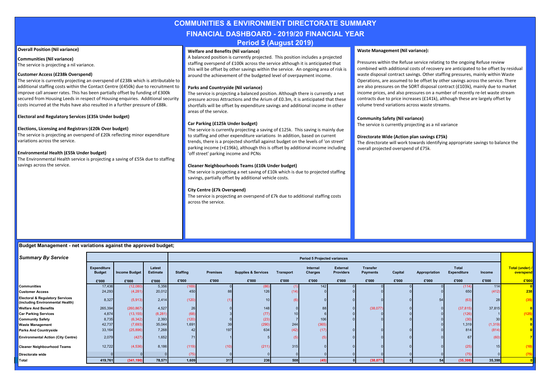### **COMMUNITIES & ENVIRONMENT DIRECTORATE SUMMARY FINANCIAL DASHBOARD - 2019/20 FINANCIAL YEAR Period 5 (August 2019)**

#### **Overall Position (Nil variance)**

**Communities (Nil variance)** The service is projecting a nil variance.

#### **Customer Access (£238k Overspend)**

The service is currently projecting an overspend of £238k which is attributable to additional staffing costs within the Contact Centre (£450k) due to recruitment to improve call answer rates. This has been partially offset by funding of £300k secured from Housing Leeds in respect of Housing enquiries. Additional security costs incurred at the Hubs have also resulted in a further pressure of £88k.

**Electoral and Regulatory Services (£35k Under budget)**

#### **Elections, Licensing and Registrars (£20k Over budget)**

The service is projecting an overspend of £20k reflecting minor expenditure variations across the service.

#### **Environmental Health (£55k Under budget)**

The Environmental Health service is projecting a saving of £55k due to staffing savings across the service.

#### **Welfare and Benefits (Nil variance)**

A balanced position is currently projected. This position includes a projected staffing overspend of £100k across the service although it is anticipated that this will be offset by other savings within the service. An ongoing area of risk is around the achievement of the budgeted level of overpayment income.

#### **Parks and Countryside (Nil variance)**

The service is projecting a balanced position. Although there is currently a net pressure across Attractions and the Arium of £0.3m, it is anticipated that these shortfalls will be offset by expenditure savings and additional income in other areas of the service.

#### **Car Parking (£125k Under budget)**

The service is currently projecting a saving of £125k. This saving is mainly due to staffing and other expenditure variations In addition, based on current trends, there is a projected shortfall against budget on the levels of 'on street' parking income (+£196k), although this is offset by additional income including 'off street' parking income and PCNs

#### **Cleaner Neighbourhoods Teams (£10k Under budget)**

The service is projecting a net saving of £10k which is due to projected staffing savings, partially offset by additional vehicle costs.

#### **City Centre (£7k Overspend)**

The service is projecting an overspend of £7k due to additional staffing costs across the service.

#### **Waste Management (Nil variance):**

Pressures within the Refuse service relating to the ongoing Refuse review combined with additional costs of recovery are anticipated to be offset by residual waste disposal contract savings. Other staffing pressures, mainly within Waste Operations, are assumed to be offset by other savings across the service. There are also pressures on the SORT disposal contract (£103k), mainly due to market income prices, and also pressures on a number of recently re-let waste stream contracts due to price increases (£141k), although these are largely offset by volume trend variations across waste streams.

#### **Community Safety (Nil variance)**

The service is currently projecting as a nil variance

#### **Directorate Wide (Action plan savings £75k)**

The directorate will work towards identifying appropriate savings to balance the overall projected overspend of £75k.

| <b>Summary By Service</b>                                                      |                              |                      |                           |                 |                 |                                |                  | <b>Period 5 Projected variances</b> |                              |                             |         |               |                                    |          |                                                               |
|--------------------------------------------------------------------------------|------------------------------|----------------------|---------------------------|-----------------|-----------------|--------------------------------|------------------|-------------------------------------|------------------------------|-----------------------------|---------|---------------|------------------------------------|----------|---------------------------------------------------------------|
|                                                                                | Expenditure<br><b>Budget</b> | <b>Income Budget</b> | Latest<br><b>Estimate</b> | <b>Staffing</b> | <b>Premises</b> | <b>Supplies &amp; Services</b> | <b>Transport</b> | Internal<br><b>Charges</b>          | External<br><b>Providers</b> | Transfer<br><b>Payments</b> | Capital | Appropriation | <b>Total</b><br><b>Expenditure</b> | Income   | Total (under) /<br>overspend                                  |
|                                                                                | £'000                        | £'000                | £'000                     | £'000           | £'000           | £'000                          | £'000            | £'000                               | £'000                        | £'000                       | £'000   | £'000         | £'000                              | £'000    | E'000                                                         |
| Communities                                                                    | 17,436                       | (12,080)             | 5,356                     | (169)           |                 | (86)                           |                  | 142                                 |                              |                             |         |               | (114)                              | 114      |                                                               |
| <b>Customer Access</b>                                                         | 24,293                       | (4, 281)             | 20,012                    | 450             | 88              | 126                            | (14)             |                                     |                              |                             |         |               | 650                                | (412)    | 238                                                           |
| <b>Electoral &amp; Regulatory Services</b><br>(including Environmental Health) | 8,327                        | (5, 913)             | 2,414                     | (120)           |                 |                                |                  |                                     |                              |                             |         |               | (63)                               | 28       | (35)                                                          |
| <b>Welfare And Benefits</b>                                                    | 265,394                      | (260, 867)           | 4,527                     | 26              |                 | 148                            |                  |                                     |                              | (38,077)                    |         |               | (37, 815)                          | 37,815   | $\begin{array}{c c} & 0 \\ \hline (125) & \hline \end{array}$ |
| <b>Car Parking Services</b>                                                    | 4,874                        | (13, 155)            | (8, 281)                  | (68)            |                 | (77)                           |                  |                                     |                              |                             |         |               | (126)                              |          |                                                               |
| <b>Community Safety</b>                                                        | 8,735                        | (6, 342)             | 2,393                     | (120)           |                 | (23)                           |                  | 106                                 |                              |                             |         |               | (30)                               |          |                                                               |
| <b>Waste Management</b>                                                        | 42,737                       | (7,693)              | 35,044                    | 1,691           | 39              | (290)                          | 244              | (365)                               |                              |                             |         |               | 1,319                              | (1, 319) |                                                               |
| <b>Parks And Countryside</b>                                                   | 33,164                       | (25, 896)            | 7,268                     | 42              | 197             | 634                            | (42)             | (17)                                |                              |                             |         |               | 814                                | (814)    |                                                               |
| <b>Environmental Action (City Centre)</b>                                      | 2,079                        | (427)                | 1,652                     |                 |                 |                                |                  |                                     |                              |                             |         |               |                                    | (60)     |                                                               |
| <b>Cleaner Neighbourhood Teams</b>                                             | 12,722                       | (4, 536)             | 8,186                     | (119)           | (10)            | (211)                          | 315              |                                     |                              |                             |         |               | (25)                               | 15       |                                                               |
| Directorate wide                                                               |                              |                      |                           | (75)            |                 |                                |                  |                                     |                              |                             |         |               | (75)                               |          |                                                               |
| Total                                                                          | 419,761                      | (341, 190)           | 78,571                    | 1,609           | 317             | 236                            | 508              | (45)                                |                              | (38, 077)                   |         | 54            | (35, 398)                          | 35,398   |                                                               |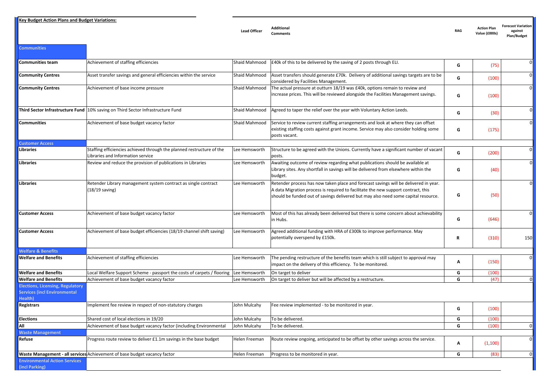**Key Budget Action Plans and Budget Variations:**

**Communities**

**Lead Officer Additional** 

**Comments RAG Action Plan Value (£000s) Forecast Variation against Plan/Budget**

| Communities team                                                                          | Achievement of staffing efficiencies                                                                       | Shaid Mahmood | E40k of this to be delivered by the saving of 2 posts through ELI.                                                                                                                                                                                              | G | (75)    | $\mathbf{0}$   |
|-------------------------------------------------------------------------------------------|------------------------------------------------------------------------------------------------------------|---------------|-----------------------------------------------------------------------------------------------------------------------------------------------------------------------------------------------------------------------------------------------------------------|---|---------|----------------|
| <b>Community Centres</b>                                                                  | Asset transfer savings and general efficiencies within the service                                         | Shaid Mahmood | Asset transfers should generate £70k. Delivery of additional savings targets are to be<br>considered by Facilities Management.                                                                                                                                  | G | (100)   | $\mathbf 0$    |
| <b>Community Centres</b>                                                                  | Achievement of base income pressure                                                                        | Shaid Mahmood | The actual pressure at outturn 18/19 was £40k, options remain to review and<br>increase prices. This will be reviewed alongside the Facilities Management savings.                                                                                              | G | (100)   | $\mathbf 0$    |
|                                                                                           | Third Sector Infrastructure Fund 10% saving on Third Sector Infrastructure Fund                            | Shaid Mahmood | Agreed to taper the relief over the year with Voluntary Action Leeds.                                                                                                                                                                                           | G | (30)    | $\mathbf 0$    |
| Communities                                                                               | Achievement of base budget vacancy factor                                                                  | Shaid Mahmood | Service to review current staffing arrangements and look at where they can offset<br>existing staffing costs against grant income. Service may also consider holding some<br>posts vacant.                                                                      | G | (175)   | $\mathbf 0$    |
| <b>Customer Access</b>                                                                    |                                                                                                            |               |                                                                                                                                                                                                                                                                 |   |         |                |
| Libraries                                                                                 | Staffing efficiencies achieved through the planned restructure of the<br>Libraries and Information service | Lee Hemsworth | Structure to be agreed with the Unions. Currently have a significant number of vacant<br>posts.                                                                                                                                                                 | G | (200)   | $\mathbf 0$    |
| <b>Libraries</b>                                                                          | Review and reduce the provision of publications in Libraries                                               | Lee Hemsworth | Awaiting outcome of review regarding what publications should be available at<br>Library sites. Any shortfall in savings will be delivered from elsewhere within the<br>budget.                                                                                 | G | (40)    | $\overline{0}$ |
| <b>Libraries</b>                                                                          | Retender Library management system contract as single contract<br>(18/19 saving)                           | Lee Hemsworth | Retender process has now taken place and forecast savings will be delivered in year.<br>A data Migration process is required to facilitate the new support contract, this<br>should be funded out of savings delivered but may also need some capital resource. | G | (50)    | $\overline{0}$ |
| <b>Customer Access</b>                                                                    | Achievement of base budget vacancy factor                                                                  | Lee Hemsworth | Most of this has already been delivered but there is some concern about achievability<br>in Hubs.                                                                                                                                                               | G | (646)   | $\overline{0}$ |
| <b>Customer Access</b>                                                                    | Achievement of base budget efficiencies (18/19 channel shift saving)                                       | Lee Hemsworth | Agreed additional funding with HRA of £300k to improve performance. May<br>potentially overspend by £150k.                                                                                                                                                      | R | (310)   | 150            |
| <b>Welfare &amp; Benefits</b>                                                             |                                                                                                            |               |                                                                                                                                                                                                                                                                 |   |         |                |
| <b>Welfare and Benefits</b>                                                               | Achievement of staffing efficiencies                                                                       | Lee Hemsworth | The pending restructure of the benefits team which is still subject to approval may<br>impact on the delivery of this efficiency. To be monitored.                                                                                                              | A | (150)   | $\mathbf{0}$   |
| <b>Welfare and Benefits</b>                                                               | Local Welfare Support Scheme - passport the costs of carpets / flooring                                    | Lee Hemsworth | On target to deliver                                                                                                                                                                                                                                            | G | (100)   |                |
| <b>Welfare and Benefits</b>                                                               | Achievement of base budget vacancy factor                                                                  | Lee Hemsworth | On target to deliver but will be affected by a restructure.                                                                                                                                                                                                     | G | (47)    | $\mathbf 0$    |
| <b>Elections, Licensing, Regulatory</b><br><b>Services (incl Environmental</b><br>lealth) |                                                                                                            |               |                                                                                                                                                                                                                                                                 |   |         |                |
| Registrars                                                                                | Implement fee review in respect of non-statutory charges                                                   | John Mulcahy  | Fee review implemented - to be monitored in year.                                                                                                                                                                                                               | G | (100)   |                |
| <b>Elections</b>                                                                          | Shared cost of local elections in 19/20                                                                    | John Mulcahy  | To be delivered.                                                                                                                                                                                                                                                | G | (100)   |                |
| All                                                                                       | Achievement of base budget vacancy factor (including Environmental                                         | John Mulcahy  | To be delivered.                                                                                                                                                                                                                                                | G | (100)   | $\mathbf{0}$   |
| <b>Waste Management</b>                                                                   |                                                                                                            |               |                                                                                                                                                                                                                                                                 |   |         |                |
| Refuse                                                                                    | Progress route review to deliver £1.1m savings in the base budget                                          | Helen Freeman | Route review ongoing, anticipated to be offset by other savings across the service.                                                                                                                                                                             | A | (1,100) | $\overline{0}$ |
|                                                                                           | Waste Management - all services Achievement of base budget vacancy factor                                  | Helen Freeman | Progress to be monitored in year.                                                                                                                                                                                                                               | G | (83)    | $\overline{0}$ |
| <b>Environmental Action Services</b><br>(incl Parking)                                    |                                                                                                            |               |                                                                                                                                                                                                                                                                 |   |         |                |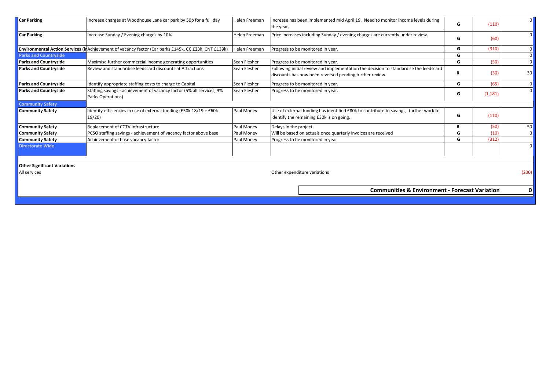| <b>Car Parking</b>                  | Increase charges at Woodhouse Lane car park by 50p for a full day                                     | Helen Freeman | Increase has been implemented mid April 19. Need to monitor income levels during<br>the year.                                                    | G | (110)    | 0               |
|-------------------------------------|-------------------------------------------------------------------------------------------------------|---------------|--------------------------------------------------------------------------------------------------------------------------------------------------|---|----------|-----------------|
| <b>Car Parking</b>                  | Increase Sunday / Evening charges by 10%                                                              | Helen Freeman | Price increases including Sunday / evening charges are currently under review.                                                                   | G | (60)     |                 |
|                                     | Environmental Action Services (in Achievement of vacancy factor (Car parks £145k, CC £23k, CNT £139k) | Helen Freeman | Progress to be monitored in year.                                                                                                                | G | (310)    |                 |
| <b>Parks and Countryside</b>        |                                                                                                       |               |                                                                                                                                                  | G |          |                 |
| <b>Parks and Countryside</b>        | Maximise further commercial income generating opportunities                                           | Sean Flesher  | Progress to be monitored in year.                                                                                                                | G | (50)     | $\overline{0}$  |
| <b>Parks and Countryside</b>        | Review and standardise leedscard discounts at Attractions                                             | Sean Flesher  | Following initial review and implementation the decision to standardise the leedscard<br>discounts has now been reversed pending further review. | R | (30)     | 30 <sup>1</sup> |
| <b>Parks and Countryside</b>        | Identify appropriate staffing costs to charge to Capital                                              | Sean Flesher  | Progress to be monitored in year.                                                                                                                | G | (65)     |                 |
| <b>Parks and Countryside</b>        | Staffing savings - achievement of vacancy factor (5% all services, 9%<br>Parks Operations)            | Sean Flesher  | Progress to be monitored in year.                                                                                                                | G | (1, 181) | $\overline{0}$  |
| <b>Community Safety</b>             |                                                                                                       |               |                                                                                                                                                  |   |          |                 |
| <b>Community Safety</b>             | Identify efficiencies in use of external funding (£50k 18/19 + £60k<br>19/20                          | Paul Money    | Use of external funding has identified £80k to contribute to savings, further work to<br>identify the remaining £30k is on going.                | G | (110)    |                 |
| <b>Community Safety</b>             | Replacement of CCTV infrastructure                                                                    | Paul Money    | Delays in the project.                                                                                                                           | R | (50)     | 50              |
| <b>Community Safety</b>             | PCSO staffing savings - achievement of vacancy factor above base                                      | Paul Money    | Will be based on actuals once quarterly invoices are received                                                                                    | G | (10)     | $\overline{0}$  |
| <b>Community Safety</b>             | Achievement of base vacancy factor                                                                    | Paul Money    | Progress to be monitored in year                                                                                                                 | G | (312)    |                 |
| <b>Directorate Wide</b>             |                                                                                                       |               |                                                                                                                                                  |   |          |                 |
| <b>Other Significant Variations</b> |                                                                                                       |               |                                                                                                                                                  |   |          |                 |
| All services                        |                                                                                                       |               | Other expenditure variations                                                                                                                     |   |          | (230)           |
|                                     |                                                                                                       |               | <b>Communities &amp; Environment - Forecast Variation</b>                                                                                        |   |          | 01              |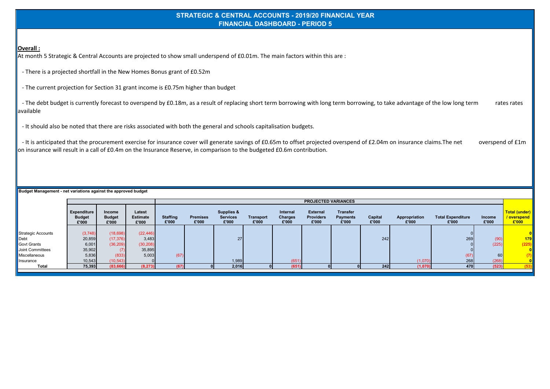#### **STRATEGIC & CENTRAL ACCOUNTS - 2019/20 FINANCIAL YEAR FINANCIAL DASHBOARD - PERIOD 5**

#### **Overall :**

At month 5 Strategic & Central Accounts are projected to show small underspend of £0.01m. The main factors within this are :

- There is a projected shortfall in the New Homes Bonus grant of £0.52m

- The current projection for Section 31 grant income is £0.75m higher than budget

- The debt budget is currently forecast to overspend by £0.18m, as a result of replacing short term borrowing with long term borrowing, to take advantage of the low long term rates rates available

- It should also be noted that there are risks associated with both the general and schools capitalisation budgets.

- It is anticipated that the procurement exercise for insurance cover will generate savings of £0.65m to offset projected overspend of £2.04m on insurance claims. The net overspend of £1m on insurance will result in a call of £0.4m on the Insurance Reserve, in comparison to the budgeted £0.6m contribution.

|                           |                                       |                                  |                                    |                          |                          |                                        |                           |                              | <b>PROJECTED VARIANCES</b>                   |                                      |                  |                        |                                   |                 |                                                      |
|---------------------------|---------------------------------------|----------------------------------|------------------------------------|--------------------------|--------------------------|----------------------------------------|---------------------------|------------------------------|----------------------------------------------|--------------------------------------|------------------|------------------------|-----------------------------------|-----------------|------------------------------------------------------|
|                           | Expenditure<br><b>Budget</b><br>£'000 | Income<br><b>Budget</b><br>£'000 | Latest<br><b>Estimate</b><br>£'000 | <b>Staffing</b><br>£'000 | <b>Premises</b><br>£'000 | Supplies &<br><b>Services</b><br>£'000 | <b>Transport</b><br>£'000 | Internal<br>Charges<br>£'000 | <b>External</b><br><b>Providers</b><br>£'000 | <b>Transfer</b><br>Payments<br>£'000 | Capital<br>£'000 | Appropriation<br>£'000 | <b>Total Expenditure</b><br>£'000 | Income<br>£'000 | <b>Total (under)</b><br><u>/ overspend_</u><br>£'000 |
|                           |                                       |                                  |                                    |                          |                          |                                        |                           |                              |                                              |                                      |                  |                        |                                   |                 |                                                      |
| <b>Strategic Accounts</b> | (3,748)                               | (18, 698)                        | (22, 446)                          |                          |                          |                                        |                           |                              |                                              |                                      |                  |                        |                                   |                 |                                                      |
| Debt                      | 20,859                                | (17, 376)                        | 3,483                              |                          |                          | 27 <sub>1</sub>                        |                           |                              |                                              |                                      | 242              |                        | 269                               | (90)            | 179                                                  |
| Govt Grants               | 6,001                                 | (36, 209)                        | (30, 208)                          |                          |                          |                                        |                           |                              |                                              |                                      |                  |                        |                                   | (225)           | (225)                                                |
| Joint Committees          | 35,902                                |                                  | 35,895                             |                          |                          |                                        |                           |                              |                                              |                                      |                  |                        |                                   |                 |                                                      |
| Miscellaneous             | 5,836                                 | (833)                            | 5,003                              | (67)                     |                          |                                        |                           |                              |                                              |                                      |                  |                        | (67)                              | 60              | (7)                                                  |
| Insurance                 | 10,543                                | (10, 543)                        |                                    |                          |                          | 1,989                                  |                           | (651)                        |                                              |                                      |                  | (1,070)                | 268                               | (268)           |                                                      |
| <b>Total</b>              | 75,393                                | (83, 666)                        | (8, 273)                           | (67)                     |                          | 2,016                                  |                           | (651)                        |                                              |                                      | 242              | (1,070)                | 470                               | (523)           | (53)                                                 |
|                           |                                       |                                  |                                    |                          |                          |                                        |                           |                              |                                              |                                      |                  |                        |                                   |                 |                                                      |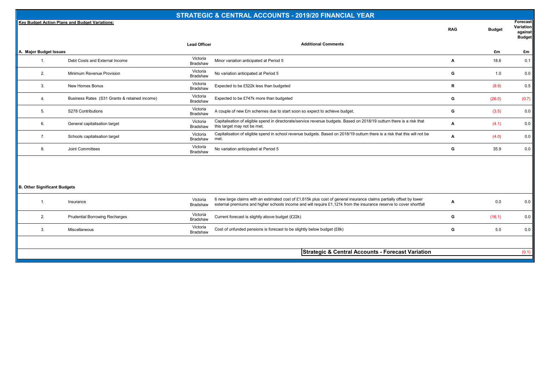#### **STRATEGIC & CENTRAL ACCOUNTS - 2019/20 FINANCIAL YEAR**

**Key Budget Action Plans and Budget Variations:**

| Forecast  |
|-----------|
| Variation |

**against** 

**RAG Budget**

|                                     |                                               |                             |                                                                                                                                                                                                                                            |   |            | <b>Budget</b> |
|-------------------------------------|-----------------------------------------------|-----------------------------|--------------------------------------------------------------------------------------------------------------------------------------------------------------------------------------------------------------------------------------------|---|------------|---------------|
|                                     |                                               | <b>Lead Officer</b>         | <b>Additional Comments</b>                                                                                                                                                                                                                 |   |            |               |
| A. Major Budget Issues<br>1.        | Debt Costs and External Income                | Victoria<br>Bradshaw        | Minor variation anticipated at Period 5                                                                                                                                                                                                    | A | £m<br>18.6 | £m<br>0.1     |
| 2.                                  | Minimum Revenue Provision                     | Victoria<br>Bradshaw        | No variation anticipated at Period 5                                                                                                                                                                                                       | G | 1.0        | 0.0           |
| 3.                                  | New Homes Bonus                               | Victoria<br>Bradshaw        | Expected to be £522k less than budgeted                                                                                                                                                                                                    | R | (9.9)      | 0.5           |
| 4.                                  | Business Rates (S31 Grants & retained income) | Victoria<br>Bradshaw        | Expected to be £747k more than budgeted                                                                                                                                                                                                    | G | (26.0)     | (0.7)         |
| 5.                                  | S278 Contributions                            | Victoria<br><b>Bradshaw</b> | A couple of new £m schemes due to start soon so expect to achieve budget.                                                                                                                                                                  | G | (3.5)      | 0.0           |
| 6.                                  | General capitalisation target                 | Victoria<br>Bradshaw        | Capitalisation of eligible spend in directorate/service revenue budgets. Based on 2018/19 outturn there is a risk that<br>this target may not be met.                                                                                      | А | (4.1)      | 0.0           |
| 7.                                  | Schools capitalisation target                 | Victoria<br>Bradshaw        | Capitalisation of eligible spend in school revenue budgets. Based on 2018/19 outturn there is a risk that this will not be<br>met.                                                                                                         | A | (4.0)      | 0.0           |
| 8.                                  | Joint Committees                              | Victoria<br>Bradshaw        | No variation anticipated at Period 5                                                                                                                                                                                                       | G | 35.9       | 0.0           |
| <b>B. Other Significant Budgets</b> |                                               |                             |                                                                                                                                                                                                                                            |   |            |               |
| 1.                                  | Insurance                                     | Victoria<br><b>Bradshaw</b> | 6 new large claims with an estimated cost of £1,615k plus cost of general insurance claims partially offset by lower<br>external premiums and higher schools income and will require £1,121k from the insurance reserve to cover shortfall | A | 0.0        | 0.0           |
| 2.                                  | <b>Prudential Borrowing Recharges</b>         | Victoria<br>Bradshaw        | Current forecast is slightly above budget (£22k)                                                                                                                                                                                           | G | (16.1)     | 0.0           |
| 3.                                  | Miscellaneous                                 | Victoria<br><b>Bradshaw</b> | Cost of unfunded pensions is forecast to be slightly below budget (£8k)                                                                                                                                                                    | G | 5.0        | 0.0           |
|                                     |                                               |                             |                                                                                                                                                                                                                                            |   |            |               |
|                                     |                                               |                             | Strategic & Central Accounts - Forecast Variation                                                                                                                                                                                          |   |            | (0.1)         |
|                                     |                                               |                             |                                                                                                                                                                                                                                            |   |            |               |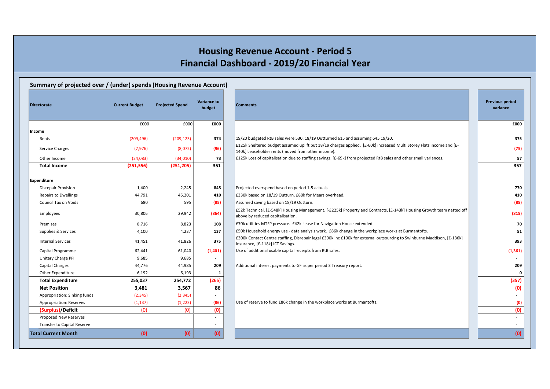# **Housing Revenue Account - Period 5 Financial Dashboard - 2019/20 Financial Year**

### **Summary of projected over / (under) spends (Housing Revenue Account)**

| <b>Directorate</b>                 | <b>Current Budget</b> | <b>Projected Spend</b> | <b>Variance to</b><br>budget |
|------------------------------------|-----------------------|------------------------|------------------------------|
|                                    | £000                  | £000                   | £000                         |
| Income                             |                       |                        |                              |
| Rents                              | (209, 496)            | (209, 123)             | 374                          |
| Service Charges                    | (7, 976)              | (8,072)                | (96)                         |
| Other Income                       | (34,083)              | (34,010)               | 73                           |
| <b>Total Income</b>                | (251, 556)            | (251, 205)             | 351                          |
| <b>Expenditure</b>                 |                       |                        |                              |
| Disrepair Provision                | 1,400                 | 2,245                  | 845                          |
| <b>Repairs to Dwellings</b>        | 44,791                | 45,201                 | 410                          |
| <b>Council Tax on Voids</b>        | 680                   | 595                    | (85)                         |
| Employees                          | 30,806                | 29,942                 | (864)                        |
| Premises                           | 8,716                 | 8,823                  | 108                          |
| Supplies & Services                | 4,100                 | 4,237                  | 137                          |
| <b>Internal Services</b>           | 41,451                | 41,826                 | 375                          |
| Capital Programme                  | 62,441                | 61,040                 | (1,401)                      |
| Unitary Charge PFI                 | 9,685                 | 9,685                  |                              |
| <b>Capital Charges</b>             | 44,776                | 44,985                 | 209                          |
| Other Expenditure                  | 6,192                 | 6,193                  | 1                            |
| <b>Total Expenditure</b>           | 255,037               | 254,772                | (265)                        |
| <b>Net Position</b>                | 3,481                 | 3,567                  | 86                           |
| Appropriation: Sinking funds       | (2, 345)              | (2, 345)               |                              |
| Appropriation: Reserves            | (1, 137)              | (1, 223)               | (86)                         |
| (Surplus)/Deficit                  | (0)                   | (0)                    | (0)                          |
| Proposed New Reserves              |                       |                        |                              |
| <b>Transfer to Capital Reserve</b> |                       |                        |                              |
| <b>Total Current Month</b>         | (0)                   | (0)                    | (0)                          |

| <b>Directorate</b>                 | <b>Current Budget</b> | <b>Projected Spend</b> | <b>Variance to</b><br>budget | <b>Comments</b>                                                                                                                                                            | <b>Previous period</b><br>variance |
|------------------------------------|-----------------------|------------------------|------------------------------|----------------------------------------------------------------------------------------------------------------------------------------------------------------------------|------------------------------------|
|                                    | £000                  | £000                   | £000                         |                                                                                                                                                                            | £000                               |
| Income                             |                       |                        |                              |                                                                                                                                                                            |                                    |
| Rents                              | (209, 496)            | (209, 123)             | 374                          | 19/20 budgeted RtB sales were 530. 18/19 Outturned 615 and assuming 645 19/20.                                                                                             | 375                                |
| Service Charges                    | (7, 976)              | (8,072)                | (96)                         | £125k Sheltered budget assumed uplift but 18/19 charges applied. [£-60k] increased Multi Storey Flats income and [£-<br>140k] Leaseholder rents (moved from other income). | (75)                               |
| Other Income                       | (34,083)              | (34,010)               | 73                           | £125k Loss of capitalisation due to staffing savings, [£-69k] from projected RtB sales and other small variances.                                                          | 57                                 |
| <b>Total Income</b>                | (251, 556)            | (251, 205)             | 351                          |                                                                                                                                                                            | 357                                |
| Expenditure                        |                       |                        |                              |                                                                                                                                                                            |                                    |
| <b>Disrepair Provision</b>         | 1,400                 | 2,245                  | 845                          | Projected overspend based on period 1-5 actuals.                                                                                                                           | 770                                |
| <b>Repairs to Dwellings</b>        | 44,791                | 45,201                 | 410                          | £330k based on 18/19 Outturn. £80k for Mears overhead.                                                                                                                     | 410                                |
| Council Tax on Voids               | 680                   | 595                    | (85)                         | Assumed saving based on 18/19 Outturn.                                                                                                                                     | (85)                               |
| Employees                          | 30,806                | 29,942                 | (864)                        | £52k Technical, [£-548k] Housing Management, [-£225k] Property and Contracts, [£-143k] Housing Growth team netted off<br>above by reduced capitalisation.                  | (815)                              |
| Premises                           | 8,716                 | 8,823                  | 108                          | E70k utilities MTFP pressure. £42k Lease for Navigation House extended.                                                                                                    | 70                                 |
| Supplies & Services                | 4,100                 | 4,237                  | 137                          | £50k Household energy use - data analysis work. £86k change in the workplace works at Burmantofts.                                                                         | 51                                 |
| <b>Internal Services</b>           | 41,451                | 41,826                 | 375                          | £300k Contact Centre staffing, Disrepair legal £300k inc £100k for external outsourcing to Swinburne Maddison, [£-136k]<br>Insurance, [£-118k] ICT Savings.                | 393                                |
| Capital Programme                  | 62,441                | 61,040                 | (1,401)                      | Use of additional usable capital receipts from RtB sales.                                                                                                                  | (1, 361)                           |
| Unitary Charge PFI                 | 9,685                 | 9,685                  | $\overline{\phantom{a}}$     |                                                                                                                                                                            |                                    |
| <b>Capital Charges</b>             | 44,776                | 44,985                 | 209                          | Additional interest payments to GF as per period 3 Treasury report.                                                                                                        | 209                                |
| Other Expenditure                  | 6,192                 | 6,193                  | $\mathbf{1}$                 |                                                                                                                                                                            | 0                                  |
| <b>Total Expenditure</b>           | 255,037               | 254,772                | (265)                        |                                                                                                                                                                            | (357)                              |
| <b>Net Position</b>                | 3,481                 | 3,567                  | 86                           |                                                                                                                                                                            | (0)                                |
| Appropriation: Sinking funds       | (2, 345)              | (2, 345)               |                              |                                                                                                                                                                            |                                    |
| Appropriation: Reserves            | (1, 137)              | (1, 223)               | (86)                         | Use of reserve to fund £86k change in the workplace works at Burmantofts.                                                                                                  | (0)                                |
| (Surplus)/Deficit                  | (0)                   | (0)                    | (0)                          |                                                                                                                                                                            | (0)                                |
| Proposed New Reserves              |                       |                        |                              |                                                                                                                                                                            |                                    |
| <b>Transfer to Capital Reserve</b> |                       |                        |                              |                                                                                                                                                                            |                                    |
| <b>Total Current Month</b>         | (0)                   | (0)                    | (0)                          |                                                                                                                                                                            | (0)                                |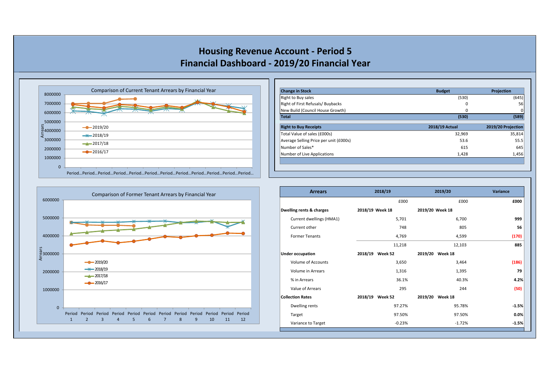**Housing Revenue Account - Period 5 Financial Dashboard - 2019/20 Financial Year**



| <b>Change in Stock</b>                 | <b>Budget</b>  | Projection         |
|----------------------------------------|----------------|--------------------|
| <b>Right to Buy sales</b>              | (530)          | (645)              |
| Right of First Refusals/Buybacks       | 0              | 56                 |
| New Build (Council House Growth)       | 0              | 0                  |
| <b>Total</b>                           | (530)          | (589)              |
| <b>Right to Buy Receipts</b>           | 2018/19 Actual | 2019/20 Projection |
| Total Value of sales (£000s)           | 32,969         | 35,814             |
| Average Selling Price per unit (£000s) | 53.6           | 55.5               |
| Number of Sales*                       | 615            | 645                |
|                                        | 1,428          | 1,456              |



| <b>Arrears</b>           |                 | 2018/19         |                 | 2019/20         | Variance |
|--------------------------|-----------------|-----------------|-----------------|-----------------|----------|
|                          |                 | £000            |                 | £000            | £000     |
| Dwelling rents & charges | 2018/19 Week 18 |                 | 2019/20 Week 18 |                 |          |
| Current dwellings (HMA1) |                 | 5,701           |                 | 6,700           | 999      |
| Current other            |                 | 748             |                 | 805             | 56       |
| <b>Former Tenants</b>    |                 | 4,769           |                 | 4,599           | (170)    |
|                          |                 | 11,218          |                 | 12,103          | 885      |
| <b>Under occupation</b>  |                 | 2018/19 Week 52 |                 | 2019/20 Week 18 |          |
| Volume of Accounts       |                 | 3,650           |                 | 3,464           | (186)    |
| Volume in Arrears        |                 | 1,316           |                 | 1,395           | 79       |
| % in Arrears             |                 | 36.1%           |                 | 40.3%           | 4.2%     |
| Value of Arrears         |                 | 295             |                 | 244             | (50)     |
| <b>Collection Rates</b>  |                 | 2018/19 Week 52 |                 | 2019/20 Week 18 |          |
| Dwelling rents           |                 | 97.27%          |                 | 95.78%          | $-1.5%$  |
| Target                   |                 | 97.50%          |                 | 97.50%          | 0.0%     |
| Variance to Target       |                 | $-0.23%$        |                 | $-1.72%$        | $-1.5%$  |
|                          |                 |                 |                 |                 |          |